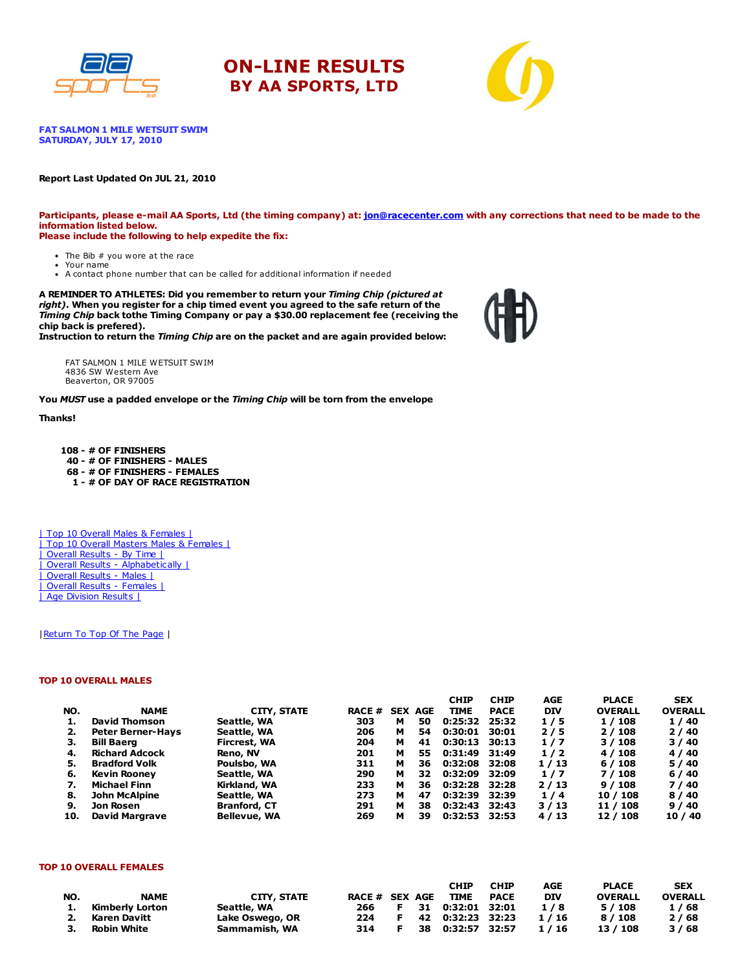





**FAT SALMON 1 MILE WETSUIT SWIM** SATURDAY, JULY 17, 2010

#### Report Last Updated On JUL 21, 2010

Participants, please e-mail AA Sports, Ltd (the timing company) at: [jon@racecenter.com](mailto:jon@racecenter.com?subject=Fat%20Salmon%201%20Mile%20Wetsuit%20Swim%20Race%20Inquiry) with any corrections that need to be made to the information listed below. Please include the following to help expedite the fix:

- The Bib # you wore at the race Your name
- A contact phone number that can be called for additional information if needed

A REMINDER TO ATHLETES: Did you remember to return your Timing Chip (pictured at right). When you register for a chip timed event you agreed to the safe return of the Timing Chip back tothe Timing Company or pay a \$30.00 replacement fee (receiving the chip back is prefered).

Instruction to return the Timing Chip are on the packet and are again provided below:

FAT SALMON 1 MILE WETSUIT SWIM 4836 SW Western Ave Beaverton, OR 97005

You MUST use a padded envelope or the Timing Chip will be torn from the envelope

#### Thanks!

 - # OF FINISHERS - # OF FINISHERS - MALES - # OF FINISHERS - FEMALES - # OF DAY OF RACE REGISTRATION

| Top 10 Overall Males & Females | | Top 10 Overall Masters Males & Females | | Overall Results - By Time | | Overall Results - Alphabetically | | Overall Results - Males | | Overall Results - Females | | Age Division Results |

#### | Return To Top Of The Page |

#### TOP 10 OVERALL MALES

|     |                          |                     |               |   |                | <b>CHIP</b> | <b>CHIP</b> | AGE        | <b>PLACE</b>   | <b>SEX</b>     |
|-----|--------------------------|---------------------|---------------|---|----------------|-------------|-------------|------------|----------------|----------------|
| NO. | <b>NAME</b>              | <b>CITY, STATE</b>  | <b>RACE #</b> |   | <b>SEX AGE</b> | <b>TIME</b> | <b>PACE</b> | <b>DIV</b> | <b>OVERALL</b> | <b>OVERALL</b> |
|     | David Thomson            | Seattle, WA         | 303           | м | 50             | 0:25:32     | 25:32       | 1/5        | 1/108          | 1/40           |
| 2.  | <b>Peter Berner-Havs</b> | Seattle, WA         | 206           | м | 54             | 0:30:01     | 30:01       | 2/5        | 2/108          | 2/40           |
| з.  | <b>Bill Baerg</b>        | Fircrest, WA        | 204           | м | 41             | 0:30:13     | 30:13       | 1/7        | 3/108          | 3/40           |
| 4.  | <b>Richard Adcock</b>    | Reno, NV            | 201           | м | 55             | 0:31:49     | 31:49       | 1/2        | 4 / 108        | 4/40           |
| 5.  | <b>Bradford Volk</b>     | Poulsbo, WA         | 311           | м | 36             | 0:32:08     | 32:08       | 1/13       | 6/108          | 5/40           |
| 6.  | <b>Kevin Rooney</b>      | Seattle, WA         | 290           | м | 32             | 0:32:09     | 32:09       | 1/7        | 7 / 108        | 6/40           |
|     | <b>Michael Finn</b>      | Kirkland, WA        | 233           | м | 36             | 0:32:28     | 32:28       | 2/13       | 9/108          | 7/40           |
| 8.  | <b>John McAlpine</b>     | Seattle, WA         | 273           | м | 47             | 0:32:39     | 32:39       | 1/4        | 10 / 108       | 8/40           |
| 9.  | Jon Rosen                | <b>Branford, CT</b> | 291           | м | 38             | 0:32:43     | 32:43       | 3/13       | 11 / 108       | 9/40           |
| 10. | <b>David Margrave</b>    | <b>Bellevue, WA</b> | 269           | м | 39             | 0:32:53     | 32:53       | 4/13       | 12 / 108       | 10/40          |

#### TOP 10 OVERALL FEMALES

|     |                 |                    |                |    | <b>CHIP</b>          | <b>CHIP</b> | AGE        | <b>PLACE</b>   | <b>SEX</b>     |
|-----|-----------------|--------------------|----------------|----|----------------------|-------------|------------|----------------|----------------|
| NO. | <b>NAME</b>     | <b>CITY, STATE</b> | RACE # SEX AGE |    | TIME                 | PACE        | <b>DIV</b> | <b>OVERALL</b> | <b>OVERALL</b> |
| 1.  | Kimberlv Lorton | Seattle, WA        | 266 F          |    | 31   0:32:01   32:01 |             | 1/8        | 5/108          | 1/68           |
|     | 2. Karen Davitt | Lake Oswego, OR    | 224            | E. | 42  0:32:23  32:23   |             | 1/16       | 8 / 108        | 2/68           |
| 3.  | Robin White     | Sammamish, WA      | 314            |    | 38 0:32:57 32:57     |             | 1/16       | 13 / 108       | 3/68           |

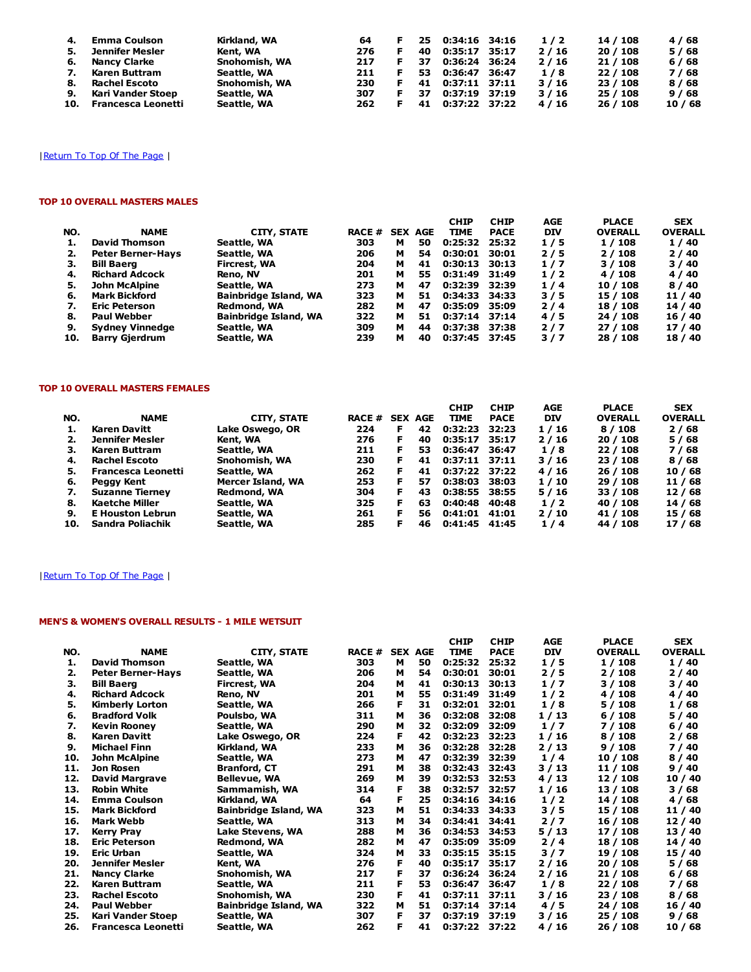| 4. | <b>Emma Coulson</b>    | Kirkland, WA  | 64  |    | 25. | $0:34:16$ 34:16  | 1/2  | 14 / 108 | 4/68  |
|----|------------------------|---------------|-----|----|-----|------------------|------|----------|-------|
| 5. | Jennifer Mesler        | Kent, WA      | 276 |    | 40  | 0:35:17 35:17    | 2/16 | 20/108   | 5/68  |
| 6. | <b>Nancy Clarke</b>    | Snohomish, WA | 217 |    | 37  | 0:36:24 36:24    | 2/16 | 21 / 108 | 6/68  |
| 7. | Karen Buttram          | Seattle, WA   | 211 | F. |     | 53 0:36:47 36:47 | 1/8  | 22 / 108 | 7/68  |
| 8. | Rachel Escoto          | Snohomish, WA | 230 |    |     | 41 0:37:11 37:11 | 3/16 | 23 / 108 | 8/68  |
| 9. | Kari Vander Stoep      | Seattle, WA   | 307 | F. | 37  | 0:37:19 37:19    | 3/16 | 25/108   | 9/68  |
|    | 10. Francesca Leonetti | Seattle, WA   | 262 |    |     | 41 0:37:22 37:22 | 4/16 | 26 / 108 | 10/68 |

### | Return To Top Of The Page |

### TOP 10 OVERALL MASTERS MALES

| NO. | <b>NAME</b>              | CITY, STATE                  | <b>RACE #</b> |   | <b>SEX AGE</b> | <b>CHIP</b><br><b>TIME</b> | <b>CHIP</b><br><b>PACE</b> | <b>AGE</b><br><b>DIV</b> | <b>PLACE</b><br><b>OVERALL</b> | <b>SEX</b><br><b>OVERALL</b> |
|-----|--------------------------|------------------------------|---------------|---|----------------|----------------------------|----------------------------|--------------------------|--------------------------------|------------------------------|
| 1.  | David Thomson            | Seattle, WA                  | 303           | м | 50             | 0:25:32                    | 25:32                      | 1/5                      | 1/108                          | 1/40                         |
| 2.  | <b>Peter Berner-Hays</b> | Seattle, WA                  | 206           | м | 54             | 0:30:01                    | 30:01                      | 2/5                      | 2/108                          | 2/40                         |
| З.  | <b>Bill Baerg</b>        | <b>Fircrest, WA</b>          | 204           | м | 41             | $0:30:13$ 30:13            |                            | 1/7                      | 3/108                          | 3/40                         |
| 4.  | <b>Richard Adcock</b>    | Reno, NV                     | 201           | м | 55             | 0:31:49 31:49              |                            | 1/2                      | 4 / 108                        | 4/40                         |
| 5.  | <b>John McAlpine</b>     | Seattle, WA                  | 273           | м | 47             | 0:32:39                    | 32:39                      | 1/4                      | 10/108                         | 8/40                         |
| 6.  | <b>Mark Bickford</b>     | <b>Bainbridge Island, WA</b> | 323           | м | 51             | 0:34:33                    | - 34:33                    | 3/5                      | 15 / 108                       | 11 / 40                      |
| 7.  | <b>Eric Peterson</b>     | Redmond, WA                  | 282           | м | 47             | 0:35:09                    | 35:09                      | 2/4                      | 18 / 108                       | 14 / 40                      |
| 8.  | <b>Paul Webber</b>       | <b>Bainbridge Island, WA</b> | 322           | м | 51             | 0:37:14                    | 37:14                      | 4/5                      | 24 / 108                       | 16 / 40                      |
| 9.  | <b>Sydney Vinnedge</b>   | Seattle, WA                  | 309           | м | 44             | 0:37:38                    | 37:38                      | 2/7                      | 27/108                         | 17/40                        |
| 10. | <b>Barry Gjerdrum</b>    | Seattle, WA                  | 239           | м | 40             | 0:37:45 37:45              |                            | 3/7                      | 28 / 108                       | 18 / 40                      |

#### TOP 10 OVERALL MASTERS FEMALES

| NO. | <b>NAME</b>             | <b>CITY, STATE</b> | RACE # |    | <b>SEX AGE</b> | <b>CHIP</b><br><b>TIME</b> | <b>CHIP</b><br><b>PACE</b> | AGE<br><b>DIV</b> | <b>PLACE</b><br><b>OVERALL</b> | <b>SEX</b><br><b>OVERALL</b> |
|-----|-------------------------|--------------------|--------|----|----------------|----------------------------|----------------------------|-------------------|--------------------------------|------------------------------|
|     | Karen Davitt            | Lake Oswego, OR    | 224    | F. | 42             | 0:32:23                    | 32:23                      | 1/16              | 8/108                          | 2/68                         |
|     | Jennifer Mesler         | Kent, WA           | 276    | F. | 40             | 0:35:17                    | 35:17                      | 2/16              | 20/108                         | 5 / 68                       |
| з.  | Karen Buttram           | Seattle, WA        | 211    | F. | 53             | 0:36:47                    | 36:47                      | 1/8               | 22/108                         | 7 / 68                       |
| 4.  | Rachel Escoto           | Snohomish, WA      | 230    | F. | 41             | $0:37:11$ 37:11            |                            | 3/16              | 23 / 108                       | 8 / 68                       |
| 5.  | Francesca Leonetti      | Seattle, WA        | 262    | F. | 41             | 0:37:22 37:22              |                            | 4/16              | 26/108                         | 10/68                        |
| 6.  | Peggy Kent              | Mercer Island, WA  | 253    | F. | 57             | 0:38:03                    | 38:03                      | 1/10              | 29/108                         | 11/68                        |
| 7.  | <b>Suzanne Tierney</b>  | Redmond, WA        | 304    | F. | 43             | 0:38:55 38:55              |                            | 5/16              | 33 / 108                       | 12/68                        |
| 8.  | Kaetche Miller          | Seattle, WA        | 325    | F. | 63             | 0:40:48                    | 40:48                      | 1/2               | 40 / 108                       | 14 / 68                      |
| 9.  | <b>E</b> Houston Lebrun | Seattle, WA        | 261    |    | 56             | 0:41:01                    | 41:01                      | 2/10              | 41 / 108                       | 15 / 68                      |
| 10. | Sandra Poliachik        | Seattle, WA        | 285    |    | 46             | 0:41:45                    | 41:45                      | 1/4               | 44 / 108                       | 17 / 68                      |

### | Return To Top Of The Page |

### MEN'S & WOMEN'S OVERALL RESULTS - 1 MILE WETSUIT

|     |                           |                              |               |                |    | <b>CHIP</b>   | <b>CHIP</b> | AGE        | <b>PLACE</b>   | <b>SEX</b>     |
|-----|---------------------------|------------------------------|---------------|----------------|----|---------------|-------------|------------|----------------|----------------|
| NO. | <b>NAME</b>               | CITY, STATE                  | <b>RACE #</b> | <b>SEX AGE</b> |    | <b>TIME</b>   | <b>PACE</b> | <b>DIV</b> | <b>OVERALL</b> | <b>OVERALL</b> |
| 1.  | <b>David Thomson</b>      | Seattle, WA                  | 303           | м              | 50 | 0:25:32       | 25:32       | 1/5        | 1/108          | 1/40           |
| 2.  | <b>Peter Berner-Hays</b>  | Seattle, WA                  | 206           | м              | 54 | 0:30:01       | 30:01       | 2/5        | 2/108          | 2/40           |
| з.  | <b>Bill Baerg</b>         | Fircrest, WA                 | 204           | м              | 41 | 0:30:13       | 30:13       | 1/7        | 3/108          | 3/40           |
| 4.  | <b>Richard Adcock</b>     | Reno, NV                     | 201           | м              | 55 | 0:31:49       | 31:49       | 1/2        | 4/108          | 4 / 40         |
| 5.  | Kimberly Lorton           | Seattle, WA                  | 266           | F              | 31 | 0:32:01       | 32:01       | 1/8        | 5/108          | 1/68           |
| 6.  | <b>Bradford Volk</b>      | Poulsbo, WA                  | 311           | м              | 36 | 0:32:08       | 32:08       | 1/13       | 6/108          | 5 / 40         |
| 7.  | <b>Kevin Rooney</b>       | Seattle, WA                  | 290           | м              | 32 | 0:32:09       | 32:09       | 1/7        | 7 / 108        | 6/40           |
| 8.  | <b>Karen Davitt</b>       | Lake Oswego, OR              | 224           | F              | 42 | 0:32:23       | 32:23       | 1/16       | 8/108          | 2/68           |
| 9.  | <b>Michael Finn</b>       | Kirkland, WA                 | 233           | М              | 36 | 0:32:28       | 32:28       | 2/13       | 9/108          | 7/40           |
| 10. | John McAlpine             | Seattle, WA                  | 273           | м              | 47 | 0:32:39       | 32:39       | 1/4        | 10 / 108       | 8/40           |
| 11. | Jon Rosen                 | <b>Branford, CT</b>          | 291           | м              | 38 | 0:32:43       | 32:43       | 3/13       | 11 / 108       | 9/40           |
| 12. | <b>David Margrave</b>     | <b>Bellevue, WA</b>          | 269           | М              | 39 | 0:32:53       | 32:53       | 4/13       | 12 / 108       | 10 / 40        |
| 13. | <b>Robin White</b>        | Sammamish, WA                | 314           | F              | 38 | 0:32:57       | 32:57       | 1/16       | 13 / 108       | 3/68           |
| 14. | <b>Emma Coulson</b>       | Kirkland, WA                 | 64            | F              | 25 | 0:34:16       | 34:16       | 1/2        | 14 / 108       | 4/68           |
| 15. | <b>Mark Bickford</b>      | <b>Bainbridge Island, WA</b> | 323           | М              | 51 | 0:34:33       | 34:33       | 3/5        | 15 / 108       | 11/40          |
| 16. | <b>Mark Webb</b>          | Seattle, WA                  | 313           | м              | 34 | 0:34:41       | 34:41       | $2/7$      | 16 / 108       | 12 / 40        |
| 17. | <b>Kerry Pray</b>         | Lake Stevens, WA             | 288           | м              | 36 | 0:34:53       | 34:53       | 5/13       | 17 / 108       | 13 / 40        |
| 18. | <b>Eric Peterson</b>      | Redmond, WA                  | 282           | м              | 47 | 0:35:09       | 35:09       | $2/4$      | 18 / 108       | 14 / 40        |
| 19. | <b>Eric Urban</b>         | Seattle, WA                  | 324           | м              | 33 | 0:35:15       | 35:15       | 3/7        | 19 / 108       | 15 / 40        |
| 20. | <b>Jennifer Mesler</b>    | Kent, WA                     | 276           | F              | 40 | 0:35:17       | 35:17       | 2/16       | 20 / 108       | 5 / 68         |
| 21. | <b>Nancy Clarke</b>       | Snohomish, WA                | 217           | F              | 37 | 0:36:24       | 36:24       | 2/16       | 21 / 108       | 6/68           |
| 22. | <b>Karen Buttram</b>      | Seattle, WA                  | 211           | F              | 53 | 0:36:47       | 36:47       | 1/8        | 22 / 108       | 7/68           |
| 23. | <b>Rachel Escoto</b>      | Snohomish, WA                | 230           | F              | 41 | 0:37:11       | 37:11       | 3/16       | 23 / 108       | 8/68           |
| 24. | <b>Paul Webber</b>        | <b>Bainbridge Island, WA</b> | 322           | м              | 51 | 0:37:14       | 37:14       | 4/5        | 24 / 108       | 16 / 40        |
| 25. | Kari Vander Stoep         | Seattle, WA                  | 307           | F              | 37 | 0:37:19       | 37:19       | 3/16       | 25 / 108       | 9/68           |
| 26. | <b>Francesca Leonetti</b> | Seattle, WA                  | 262           | F              | 41 | 0:37:22 37:22 |             | 4/16       | 26 / 108       | 10/68          |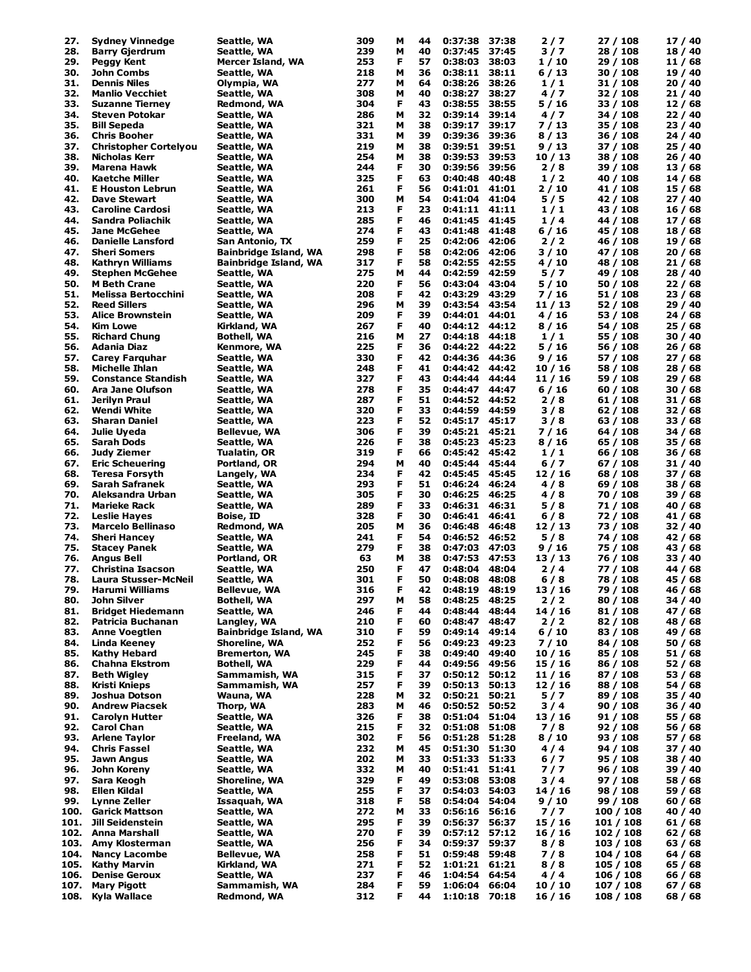| 27.  | <b>Sydney Vinnedge</b>       | Seattle, WA                  | 309 | M | 44 | 0:37:38           | 37:38 | 2/7     | 27 / 108  | 17 / 40 |
|------|------------------------------|------------------------------|-----|---|----|-------------------|-------|---------|-----------|---------|
| 28.  | <b>Barry Gjerdrum</b>        | Seattle, WA                  | 239 | м | 40 | 0:37:45           | 37:45 | 3/7     | 28 / 108  | 18 / 40 |
| 29.  | Peggy Kent                   | Mercer Island, WA            | 253 | F | 57 | 0:38:03           | 38:03 | 1/10    | 29 / 108  | 11 / 68 |
| 30.  | John Combs                   | Seattle, WA                  | 218 | М | 36 | 0:38:11           | 38:11 | 6/13    | 30 / 108  | 19 / 40 |
| 31.  | <b>Dennis Niles</b>          | Olympia, WA                  | 277 | М | 64 | 0:38:26           | 38:26 | 1/1     | 31 / 108  | 20/40   |
| 32.  | <b>Manlio Vecchiet</b>       | Seattle, WA                  | 308 | М | 40 | 0:38:27           | 38:27 | 4/7     | 32 / 108  | 21/40   |
| 33.  | <b>Suzanne Tierney</b>       | Redmond, WA                  | 304 | F | 43 | 0:38:55           | 38:55 | 5 / 16  | 33 / 108  | 12/68   |
| 34.  | Steven Potokar               | Seattle, WA                  | 286 | М | 32 | 0:39:14           | 39:14 | 4/7     | 34 / 108  | 22/40   |
| 35.  | <b>Bill Sepeda</b>           | Seattle, WA                  | 321 | М | 38 | 0:39:17           | 39:17 | 7 / 13  | 35 / 108  | 23/40   |
| 36.  | <b>Chris Booher</b>          | Seattle, WA                  | 331 | М | 39 | 0:39:36           | 39:36 | 8/13    | 36 / 108  | 24 / 40 |
| 37.  | <b>Christopher Cortelyou</b> | Seattle, WA                  | 219 | М | 38 | 0:39:51           | 39:51 | 9/13    | 37 / 108  | 25 / 40 |
| 38.  | Nicholas Kerr                | Seattle, WA                  | 254 | М | 38 | 0:39:53           | 39:53 | 10/13   | 38 / 108  | 26/40   |
|      | <b>Marena Hawk</b>           |                              |     |   |    | 0:39:56           | 39:56 |         |           | 13/68   |
| 39.  |                              | Seattle, WA                  | 244 | F | 30 |                   |       | 2/8     | 39 / 108  |         |
| 40.  | Kaetche Miller               | Seattle, WA                  | 325 | F | 63 | 0:40:48           | 40:48 | 1/2     | 40 / 108  | 14/68   |
| 41.  | <b>E Houston Lebrun</b>      | Seattle, WA                  | 261 | F | 56 | 0:41:01           | 41:01 | 2 / 10  | 41 / 108  | 15 / 68 |
| 42.  | Dave Stewart                 | Seattle, WA                  | 300 | М | 54 | 0:41:04           | 41:04 | 5/5     | 42 / 108  | 27/40   |
| 43.  | <b>Caroline Cardosi</b>      | Seattle, WA                  | 213 | F | 23 | $0:41:11$ $41:11$ |       | 1/1     | 43 / 108  | 16/68   |
| 44.  | Sandra Poliachik             | Seattle, WA                  | 285 | F | 46 | 0:41:45 41:45     |       | 1/4     | 44 / 108  | 17/68   |
| 45.  | <b>Jane McGehee</b>          | Seattle, WA                  | 274 | F | 43 | 0:41:48           | 41:48 | 6/16    | 45 / 108  | 18 / 68 |
| 46.  | <b>Danielle Lansford</b>     | San Antonio, TX              | 259 | F | 25 | 0:42:06           | 42:06 | 2/2     | 46 / 108  | 19 / 68 |
| 47.  | <b>Sheri Somers</b>          | <b>Bainbridge Island, WA</b> | 298 | F | 58 | 0:42:06 42:06     |       | 3 / 10  | 47 / 108  | 20/68   |
| 48.  | Kathryn Williams             | <b>Bainbridge Island, WA</b> | 317 | F | 58 | 0:42:55           | 42:55 | 4 / 10  | 48 / 108  | 21/68   |
| 49.  | <b>Stephen McGehee</b>       | Seattle, WA                  | 275 | М | 44 | 0:42:59           | 42:59 | 5/7     | 49 / 108  | 28 / 40 |
| 50.  | <b>M</b> Beth Crane          | Seattle, WA                  | 220 | F | 56 | 0:43:04           | 43:04 | 5 / 10  | 50 / 108  | 22/68   |
| 51.  | Melissa Bertocchini          | Seattle, WA                  | 208 | F | 42 | 0:43:29           | 43:29 | 7/16    | 51 / 108  | 23/68   |
| 52.  | <b>Reed Sillers</b>          | Seattle, WA                  | 296 | м | 39 | 0:43:54           | 43:54 | 11/13   | 52 / 108  | 29/40   |
|      |                              |                              |     | F |    |                   |       |         |           |         |
| 53.  | <b>Alice Brownstein</b>      | Seattle, WA                  | 209 |   | 39 | 0:44:01           | 44:01 | 4/16    | 53 / 108  | 24/68   |
| 54.  | Kim Lowe                     | Kirkland, WA                 | 267 | F | 40 | 0:44:12           | 44:12 | 8/16    | 54 / 108  | 25/68   |
| 55.  | <b>Richard Chung</b>         | <b>Bothell, WA</b>           | 216 | М | 27 | 0:44:18           | 44:18 | 1/1     | 55 / 108  | 30 / 40 |
| 56.  | Adania Diaz                  | Kenmore, WA                  | 225 | F | 36 | 0:44:22           | 44:22 | 5 / 16  | 56 / 108  | 26/68   |
| 57.  | <b>Carey Farguhar</b>        | Seattle, WA                  | 330 | F | 42 | 0:44:36           | 44:36 | 9/16    | 57 / 108  | 27/68   |
| 58.  | <b>Michelle Ihlan</b>        | Seattle, WA                  | 248 | F | 41 | 0:44:42           | 44:42 | 10 / 16 | 58 / 108  | 28 / 68 |
| 59.  | <b>Constance Standish</b>    | Seattle, WA                  | 327 | F | 43 | 0:44:44           | 44:44 | 11 / 16 | 59 / 108  | 29/68   |
| 60.  | Ara Jane Olufson             | Seattle, WA                  | 278 | F | 35 | 0:44:47           | 44:47 | 6/16    | 60/108    | 30/68   |
| 61.  | Jerilyn Praul                | Seattle, WA                  | 287 | F | 51 | 0:44:52           | 44:52 | 2/8     | 61 / 108  | 31 / 68 |
| 62.  | Wendi White                  | Seattle, WA                  | 320 | F | 33 | 0:44:59           | 44:59 | 3/8     | 62 / 108  | 32 / 68 |
| 63.  | <b>Sharan Daniel</b>         | Seattle, WA                  | 223 | F | 52 | 0:45:17           | 45:17 | 3/8     | 63 / 108  | 33 / 68 |
| 64.  | Julie Uyeda                  | Bellevue, WA                 | 306 | F | 39 | 0:45:21           | 45:21 | 7 / 16  | 64 / 108  | 34 / 68 |
| 65.  | Sarah Dods                   |                              | 226 | F | 38 | 0:45:23           | 45:23 | 8/16    | 65 / 108  | 35 / 68 |
|      |                              | Seattle, WA                  | 319 | F | 66 |                   | 45:42 | 1/1     |           |         |
| 66.  | Judy Ziemer                  | Tualatin, OR                 |     |   |    | 0:45:42           |       |         | 66 / 108  | 36/68   |
| 67.  | <b>Eric Scheuering</b>       | Portland, OR                 | 294 | М | 40 | 0:45:44           | 45:44 | 6/7     | 67 / 108  | 31 / 40 |
| 68.  | <b>Teresa Forsyth</b>        | Langely, WA                  | 234 | F | 42 | 0:45:45           | 45:45 | 12/16   | 68 / 108  | 37 / 68 |
| 69.  | Sarah Safranek               | Seattle, WA                  | 293 | F | 51 | 0:46:24           | 46:24 | 4/8     | 69 / 108  | 38 / 68 |
| 70.  | Aleksandra Urban             | Seattle, WA                  | 305 | F | 30 | 0:46:25           | 46:25 | 4/8     | 70 / 108  | 39 / 68 |
| 71.  | <b>Marieke Rack</b>          | Seattle, WA                  | 289 | F | 33 | 0:46:31           | 46:31 | 5/8     | 71 / 108  | 40 / 68 |
| 72.  | <b>Leslie Hayes</b>          | Boise, ID                    | 328 | F | 30 | 0:46:41           | 46:41 | 6/8     | 72 / 108  | 41 / 68 |
| 73.  | <b>Marcelo Bellinaso</b>     | Redmond, WA                  | 205 | М | 36 | 0:46:48           | 46:48 | 12 / 13 | 73 / 108  | 32/40   |
| 74.  | <b>Sheri Hancey</b>          | Seattle, WA                  | 241 | F | 54 | 0:46:52           | 46:52 | 5/8     | 74 / 108  | 42 / 68 |
| 75.  | <b>Stacey Panek</b>          | Seattle, WA                  | 279 | F | 38 | 0:47:03           | 47:03 | 9 / 16  | 75 / 108  | 43 / 68 |
| 76.  | Angus Bell                   | Portland, OR                 | 63  | М | 38 | 0:47:53           | 47:53 | 13 / 13 | 76 / 108  | 33 / 40 |
| 77.  | Christina Isacson            | Seattle, WA                  | 250 | F | 47 | 0:48:04           | 48:04 | 2/4     | 77 / 108  | 44 / 68 |
| 78.  | Laura Stusser-McNeil         | Seattle, WA                  | 301 | F | 50 | 0:48:08           | 48:08 | 6/8     | 78 / 108  | 45 / 68 |
| 79.  | Harumi Williams              | Bellevue, WA                 | 316 | F | 42 | 0:48:19           | 48:19 | 13 / 16 | 79 / 108  | 46 / 68 |
| 80.  | John Silver                  | <b>Bothell, WA</b>           | 297 | M | 58 | 0:48:25           | 48:25 | 2/2     | 80 / 108  | 34 / 40 |
|      |                              |                              |     |   |    |                   | 48:44 |         |           |         |
| 81.  | <b>Bridget Hiedemann</b>     | Seattle, WA                  | 246 | F | 44 | 0:48:44           |       | 14/16   | 81 / 108  | 47 / 68 |
| 82.  | Patricia Buchanan            | Langley, WA                  | 210 | F | 60 | 0:48:47           | 48:47 | 2/2     | 82 / 108  | 48 / 68 |
| 83.  | <b>Anne Voegtlen</b>         | <b>Bainbridge Island, WA</b> | 310 | F | 59 | 0:49:14           | 49:14 | 6 / 10  | 83 / 108  | 49 / 68 |
| 84.  | Linda Keeney                 | Shoreline, WA                | 252 | F | 56 | 0:49:23           | 49:23 | 7/10    | 84 / 108  | 50/68   |
| 85.  | Kathy Hebard                 | <b>Bremerton, WA</b>         | 245 | F | 38 | 0:49:40           | 49:40 | 10 / 16 | 85 / 108  | 51 / 68 |
| 86.  | <b>Chahna Ekstrom</b>        | <b>Bothell, WA</b>           | 229 | F | 44 | 0:49:56           | 49:56 | 15 / 16 | 86 / 108  | 52 / 68 |
| 87.  | <b>Beth Wigley</b>           | Sammamish, WA                | 315 | F | 37 | 0:50:12           | 50:12 | 11 / 16 | 87 / 108  | 53 / 68 |
| 88.  | Kristi Knieps                | Sammamish, WA                | 257 | F | 39 | 0:50:13           | 50:13 | 12/16   | 88 / 108  | 54 / 68 |
| 89.  | Joshua Dotson                | Wauna, WA                    | 228 | м | 32 | 0:50:21 50:21     |       | 5/7     | 89 / 108  | 35/40   |
| 90.  | <b>Andrew Piacsek</b>        | Thorp, WA                    | 283 | м | 46 | 0:50:52 50:52     |       | 3/4     | 90/108    | 36 / 40 |
| 91.  | <b>Carolyn Hutter</b>        | Seattle, WA                  | 326 | F | 38 | 0:51:04 51:04     |       | 13/16   | 91 / 108  | 55 / 68 |
| 92.  | <b>Carol Chan</b>            | Seattle, WA                  | 215 | F | 32 | 0:51:08           | 51:08 | 7/8     | 92/108    | 56 / 68 |
| 93.  | <b>Arlene Taylor</b>         | Freeland, WA                 | 302 | F | 56 | 0:51:28 51:28     |       | 8/10    | 93 / 108  | 57 / 68 |
| 94.  | <b>Chris Fassel</b>          | Seattle, WA                  | 232 | М | 45 | 0:51:30 51:30     |       | 4/4     | 94 / 108  | 37 / 40 |
| 95.  | Jawn Angus                   | Seattle, WA                  | 202 | М | 33 | 0:51:33 51:33     |       | 6/7     | 95 / 108  | 38 / 40 |
| 96.  | John Koreny                  | Seattle, WA                  | 332 | M | 40 | 0:51:41 51:41     |       | 7/7     | 96 / 108  | 39 / 40 |
| 97.  | Sara Keogh                   | Shoreline, WA                | 329 | F | 49 | 0:53:08           | 53:08 | 3/4     | 97 / 108  | 58 / 68 |
|      |                              |                              |     | F |    |                   |       |         |           |         |
| 98.  | Ellen Kildal                 | Seattle, WA                  | 255 |   | 37 | 0:54:03           | 54:03 | 14 / 16 | 98 / 108  | 59 / 68 |
| 99.  | Lynne Zeller                 | Issaquah, WA                 | 318 | F | 58 | 0:54:04           | 54:04 | 9 / 10  | 99 / 108  | 60/68   |
| 100. | <b>Garick Mattson</b>        | Seattle, WA                  | 272 | м | 33 | 0:56:16           | 56:16 | $7/7$   | 100 / 108 | 40 / 40 |
| 101. | Jill Seidenstein             | Seattle, WA                  | 295 | F | 39 | 0:56:37           | 56:37 | 15 / 16 | 101 / 108 | 61 / 68 |
| 102. | Anna Marshall                | Seattle, WA                  | 270 | F | 39 | 0:57:12           | 57:12 | 16 / 16 | 102 / 108 | 62/68   |
| 103. | Amy Klosterman               | Seattle, WA                  | 256 | F | 34 | 0:59:37           | 59:37 | 8/8     | 103 / 108 | 63 / 68 |
| 104. | <b>Nancy Lacombe</b>         | <b>Bellevue, WA</b>          | 258 | F | 51 | 0:59:48           | 59:48 | 7/8     | 104 / 108 | 64 / 68 |
| 105. | Kathy Marvin                 | Kirkland, WA                 | 271 | F | 52 | 1:01:21 61:21     |       | 8/8     | 105 / 108 | 65 / 68 |
| 106. | <b>Denise Geroux</b>         | Seattle, WA                  | 237 | F | 46 | 1:04:54           | 64:54 | 4/4     | 106 / 108 | 66 / 68 |
| 107. | Mary Pigott                  | Sammamish, WA                | 284 | F | 59 | 1:06:04           | 66:04 | 10/10   | 107 / 108 | 67 / 68 |
| 108. | Kyla Wallace                 | <b>Redmond, WA</b>           | 312 | F | 44 | 1:10:18           | 70:18 | 16/16   | 108 / 108 | 68 / 68 |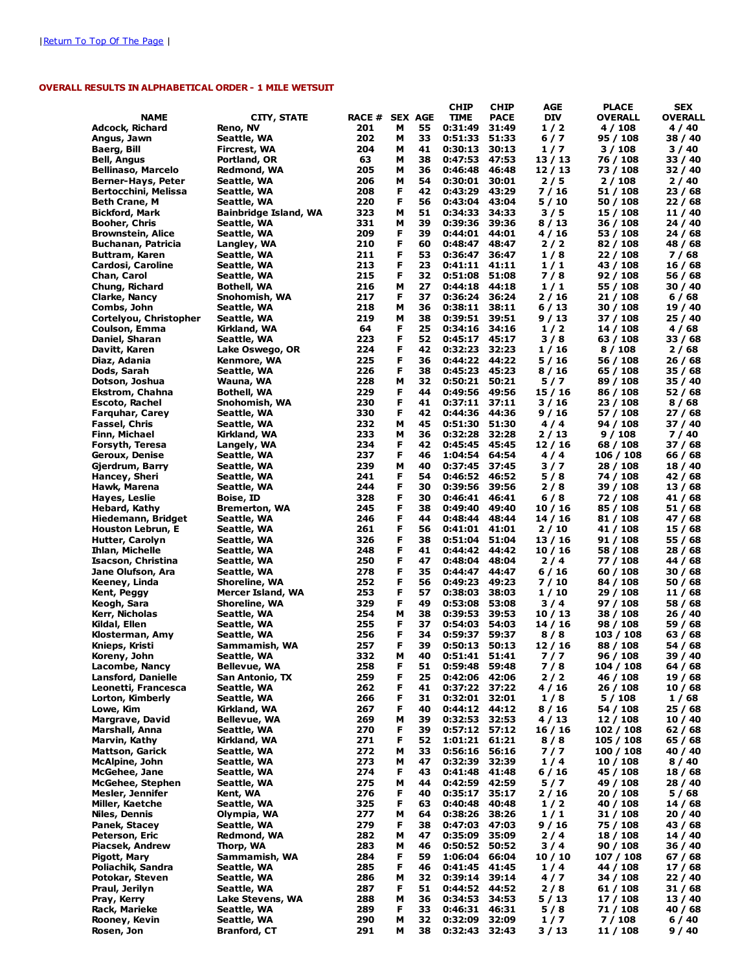### OVERALL RESULTS IN ALPHABETICAL ORDER - 1 MILE WETSUIT

|                                |                                     |                |        |          | <b>CHIP</b>        | <b>CHIP</b>    | <b>AGE</b>     | <b>PLACE</b>         | <b>SEX</b>         |
|--------------------------------|-------------------------------------|----------------|--------|----------|--------------------|----------------|----------------|----------------------|--------------------|
| <b>NAME</b>                    | <b>CITY, STATE</b>                  | RACE # SEX AGE |        |          | <b>TIME</b>        | <b>PACE</b>    | <b>DIV</b>     | OVERALL              | <b>OVERALL</b>     |
| Adcock, Richard                | Reno, NV                            | 201            | м      | 55       | 0:31:49            | 31:49          | 1/2            | 4 / 108              | 4 / 40             |
| Angus, Jawn                    | Seattle, WA                         | 202            | м      | 33       | 0:51:33            | 51:33          | $6/7$          | 95 / 108             | 38 / 40            |
| Baerg, Bill                    | Fircrest, WA                        | 204            | М      | 41       | 0:30:13            | 30:13          | 1/7            | 3 / 108              | 3 / 40             |
| Bell, Angus                    | Portland, OR                        | 63             | М      | 38       | 0:47:53            | 47:53          | 13 / 13        | 76 / 108             | 33 / 40            |
| Bellinaso, Marcelo             | Redmond, WA                         | 205            | М      | 36       | 0:46:48            | 46:48          | 12/13          | 73 / 108             | 32 / 40            |
| Berner-Hays, Peter             | Seattle, WA                         | 206            | м      | 54       | 0:30:01            | 30:01          | 2/5            | 2 / 108              | 2 / 40             |
| Bertocchini, Melissa           | Seattle, WA                         | 208            | F      | 42       | 0:43:29            | 43:29          | 7/16           | 51 / 108             | 23 / 68            |
| Beth Crane, M                  | Seattle, WA                         | 220            | F      | 56       | 0:43:04            | 43:04          | 5 / 10         | 50 / 108             | 22 / 68            |
| <b>Bickford, Mark</b>          | <b>Bainbridge Island, WA</b>        | 323            | м      | 51       | 0:34:33            | 34:33          | 3/5            | 15 / 108             | 11 / 40            |
| Booher, Chris                  | Seattle, WA                         | 331            | м      | 39       | 0:39:36            | 39:36          | 8 / 13         | 36 / 108             | 24 / 40            |
| <b>Brownstein, Alice</b>       | Seattle, WA                         | 209            | F      | 39       | 0:44:01            | 44:01          | 4 / 16         | 53 / 108             | 24 / 68            |
| Buchanan, Patricia             | Langley, WA                         | 210            | F      | 60       | 0:48:47            | 48:47          | 2/2            | 82 / 108             | 48 / 68            |
| Buttram, Karen                 | Seattle, WA                         | 211            | F      | 53       | 0:36:47            | 36:47          | 1/8            | 22 / 108             | 7 / 68             |
| Cardosi, Caroline              | Seattle, WA                         | 213            | F      | 23       | 0:41:11            | 41:11          | 1/1            | 43 / 108             | 16 / 68            |
| Chan, Carol                    | Seattle, WA                         | 215            | F      | 32       | 0:51:08            | 51:08          | 7/8            | 92 / 108             | 56 / 68            |
| Chung, Richard                 | <b>Bothell, WA</b>                  | 216            | М      | 27       | 0:44:18            | 44:18          | 1/1            | 55 / 108             | 30 / 40            |
| Clarke, Nancy                  | Snohomish, WA                       | 217            | F      | 37       | 0:36:24            | 36:24          | 2 / 16         | 21 / 108             | 6/68               |
| Combs, John                    | Seattle, WA                         | 218            | М      | 36       | 0:38:11            | 38:11          | 6 / 13         | 30 / 108             | 19 / 40            |
| Cortelyou, Christopher         | Seattle, WA                         | 219            | М      | 38       | 0:39:51            | 39:51          | 9 / 13         | 37 / 108             | 25 / 40            |
| Coulson, Emma                  | Kirkland, WA                        | 64             | F      | 25       | 0:34:16            | 34:16          | 1/2            | 14 / 108             | 4/68               |
| Daniel, Sharan                 | Seattle, WA                         | 223            | F      | 52       | 0:45:17 45:17      |                | 3/8            | 63 / 108             | 33 / 68            |
| Davitt, Karen                  | Lake Oswego, OR                     | 224            | F      | 42       | 0:32:23            | 32:23          | 1 / 16         | 8 / 108              | 2/68               |
| Diaz, Adania                   | Kenmore, WA                         | 225            | F      | 36       | 0:44:22            | 44:22          | 5 / 16         | 56 / 108             | 26/68              |
| Dods, Sarah                    | Seattle, WA                         | 226            | F      | 38       | 0:45:23            | 45:23          | 8 / 16         | 65 / 108             | 35 / 68            |
| Dotson, Joshua                 | Wauna, WA                           | 228            | М      | 32       | 0:50:21            | 50:21          | 5/7            | 89 / 108             | 35 / 40            |
| Ekstrom, Chahna                | <b>Bothell, WA</b>                  | 229            | F      | 44       | 0:49:56 49:56      |                | 15 / 16        | 86 / 108             | 52 / 68            |
| <b>Escoto, Rachel</b>          | Snohomish, WA                       | 230            | F      | 41       | $0:37:11$ 37:11    |                | 3 / 16         | 23 / 108             | 8/68               |
| <b>Farguhar, Carey</b>         | Seattle, WA                         | 330            | F      | 42       | 0:44:36            | 44:36          | 9 / 16         | 57 / 108             | 27 / 68            |
| Fassel, Chris                  | Seattle, WA                         | 232            | м      | 45       | 0:51:30            | 51:30          | 4/4            | 94 / 108             | 37 / 40            |
| Finn, Michael                  | Kirkland, WA                        | 233            | м      | 36       | 0:32:28<br>0:45:45 | 32:28          | 2 / 13         | 9/108                | 7 / 40             |
| Forsyth, Teresa                | Langely, WA                         | 234            | F      | 42       |                    | 45:45          | 12 / 16        | 68 / 108             | 37 / 68            |
| Geroux, Denise                 | Seattle, WA                         | 237<br>239     | F<br>м | 46       | 1:04:54            | 64:54          | 4/4            | 106 / 108            | 66 / 68            |
| Gjerdrum, Barry                | Seattle, WA                         | 241            | F      | 40<br>54 | 0:37:45            | 37:45          | 3/7            | 28 / 108             | 18 / 40            |
| Hancey, Sheri                  | Seattle, WA                         |                | F      | 30       | 0:46:52            | 46:52          | 5/8            | 74 / 108             | 42 / 68            |
| Hawk, Marena                   | Seattle, WA                         | 244<br>328     | F      | 30       | 0:39:56<br>0:46:41 | 39:56<br>46:41 | 2/8            | 39 / 108<br>72 / 108 | 13 / 68            |
| Hayes, Leslie<br>Hebard, Kathy | Boise, ID                           | 245            | F      | 38       | 0:49:40            | 49:40          | 6/8<br>10 / 16 | 85 / 108             | 41 / 68            |
| Hiedemann, Bridget             | <b>Bremerton, WA</b><br>Seattle, WA | 246            | F      | 44       | 0:48:44            | 48:44          | 14 / 16        | 81 / 108             | 51 / 68<br>47 / 68 |
| <b>Houston Lebrun, E</b>       | Seattle, WA                         | 261            | F      | 56       | 0:41:01            | 41:01          | 2/10           | 41 / 108             | 15 / 68            |
| Hutter, Carolyn                | Seattle, WA                         | 326            | F      | 38       | 0:51:04            | 51:04          | 13 / 16        | 91 / 108             | 55 / 68            |
| <b>Ihlan, Michelle</b>         | Seattle, WA                         | 248            | F      | 41       | 0:44:42            | 44:42          | 10 / 16        | 58 / 108             | 28 / 68            |
| Isacson, Christina             | Seattle, WA                         | 250            | F      | 47       | 0:48:04            | 48:04          | 2/4            | 77 / 108             | 44 / 68            |
| Jane Olufson, Ara              | Seattle, WA                         | 278            | F      | 35       | 0:44:47            | 44:47          | 6 / 16         | 60/108               | 30 / 68            |
| Keeney, Linda                  | Shoreline, WA                       | 252            | F      | 56       | 0:49:23            | 49:23          | 7 / 10         | 84 / 108             | 50 / 68            |
| Kent, Peggy                    | Mercer Island, WA                   | 253            | F      | 57       | 0:38:03            | 38:03          | 1/10           | 29 / 108             | 11 / 68            |
| Keogh, Sara                    | Shoreline, WA                       | 329            | F      | 49       | 0:53:08            | 53:08          | 3/4            | 97 / 108             | 58 / 68            |
| Kerr, Nicholas                 | Seattle, WA                         | 254            | М      | 38       | 0:39:53            | 39:53          | 10 / 13        | 38 / 108             | 26 / 40            |
| Kildal, Ellen                  | Seattle, WA                         | 255            | F      | 37       | 0:54:03            | 54:03          | 14 / 16        | 98 / 108             | 59 / 68            |
| Klosterman, Amy                | Seattle, WA                         | 256            | F      | 34       | 0:59:37            | 59:37          | 8/8            | 103 / 108            | 63 / 68            |
| Knieps, Kristi                 | Sammamish, WA                       | 257            | F      | 39       | 0:50:13            | 50:13          | 12 / 16        | 88 / 108             | 54 / 68            |
| Koreny, John                   | Seattle, WA                         | 332            | M      | 40       | 0:51:41            | 51:41          | 7 / 7          | 96 / 108             | 39 / 40            |
| Lacombe, Nancy                 | Bellevue, WA                        | 258            | F      | 51       | 0:59:48            | 59:48          | 7/8            | 104 / 108            | 64 / 68            |
| Lansford, Danielle             | San Antonio, TX                     | 259            | F      | 25       | 0:42:06 42:06      |                | 2/2            | 46 / 108             | 19/68              |
| Leonetti, Francesca            | Seattle, WA                         | 262            | F      | 41       | 0:37:22 37:22      |                | 4 / 16         | 26 / 108             | 10/68              |
| Lorton, Kimberly               | Seattle, WA                         | 266            | F      | 31       | 0:32:01 32:01      |                | 1/8            | 5 / 108              | 1/68               |
| Lowe, Kim                      | Kirkland, WA                        | 267            | F      | 40       | $0:44:12$ $44:12$  |                | 8 / 16         | 54 / 108             | 25/68              |
| Margrave, David                | Bellevue, WA                        | 269            | М      | 39       | 0:32:53 32:53      |                | 4 / 13         | 12/108               | 10 / 40            |
| Marshall, Anna                 | Seattle, WA                         | 270            | F      | 39       | $0:57:12$ 57:12    |                | 16 / 16        | 102 / 108            | 62 / 68            |
| Marvin, Kathy                  | Kirkland, WA                        | 271            | F      | 52       | 1:01:21 61:21      |                | 8/8            | 105 / 108            | 65 / 68            |
| <b>Mattson, Garick</b>         | Seattle, WA                         | 272            | м      | 33       | 0:56:16            | 56:16          | 7 / 7          | 100 / 108            | 40 / 40            |
| McAlpine, John                 | Seattle, WA                         | 273            | м      | 47       | 0:32:39            | 32:39          | 1/4            | 10/108               | 8/40               |
| McGehee, Jane                  | Seattle, WA                         | 274            | F      | 43       | 0:41:48            | 41:48          | 6 / 16         | 45 / 108             | 18 / 68            |
| McGehee, Stephen               | Seattle, WA                         | 275            | М      | 44       | 0:42:59            | 42:59          | 5/7            | 49 / 108             | 28 / 40            |
| Mesler, Jennifer               | Kent, WA                            | 276            | F      | 40       | 0:35:17            | 35:17          | 2 / 16         | 20 / 108             | 5/68               |
| Miller, Kaetche                | Seattle, WA                         | 325            | F      | 63       | 0:40:48 40:48      |                | 1/2            | 40 / 108             | 14 / 68            |
| Niles, Dennis                  | Olympia, WA                         | 277            | М      | 64       | 0:38:26            | 38:26          | 1/1            | 31 / 108             | 20 / 40            |
| Panek, Stacey                  | Seattle, WA                         | 279            | F      | 38       | 0:47:03 47:03      |                | 9 / 16         | 75 / 108             | 43 / 68            |
| Peterson, Eric                 | Redmond, WA                         | 282            | м      | 47       | 0:35:09            | 35:09          | $2/4$          | 18 / 108             | 14 / 40            |
| Piacsek, Andrew                | Thorp, WA                           | 283            | м      | 46       | 0:50:52 50:52      |                | 3/4            | 90/108               | 36 / 40            |
| Pigott, Mary                   | Sammamish, WA                       | 284            | F      | 59       | 1:06:04            | 66:04          | 10 / 10        | 107 / 108            | 67 / 68            |
| Poliachik, Sandra              | Seattle, WA                         | 285            | F      | 46       | 0:41:45            | 41:45          | 1/4            | 44 / 108             | 17 / 68            |
| Potokar, Steven                | Seattle, WA                         | 286            | М      | 32       | 0:39:14            | 39:14          | 4/7            | 34 / 108             | 22/40              |
| Praul, Jerilyn                 | Seattle, WA                         | 287            | F      | 51       | 0:44:52            | 44:52          | 2/8            | 61 / 108             | 31 / 68            |
| Pray, Kerry                    | Lake Stevens, WA                    | 288            | м      | 36       | 0:34:53            | 34:53          | 5 / 13         | 17 / 108             | 13 / 40            |
| Rack, Marieke                  | Seattle, WA                         | 289            | F      | 33       | 0:46:31            | 46:31          | 5/8            | 71 / 108             | 40 / 68            |
| Rooney, Kevin                  | Seattle, WA                         | 290            | М      | 32       | 0:32:09            | 32:09          | 1/7            | 7 / 108              | 6 / 40             |
| Rosen, Jon                     | <b>Branford, CT</b>                 | 291            | м      | 38       | 0:32:43 32:43      |                | 3 / 13         | 11/108               | 9/40               |
|                                |                                     |                |        |          |                    |                |                |                      |                    |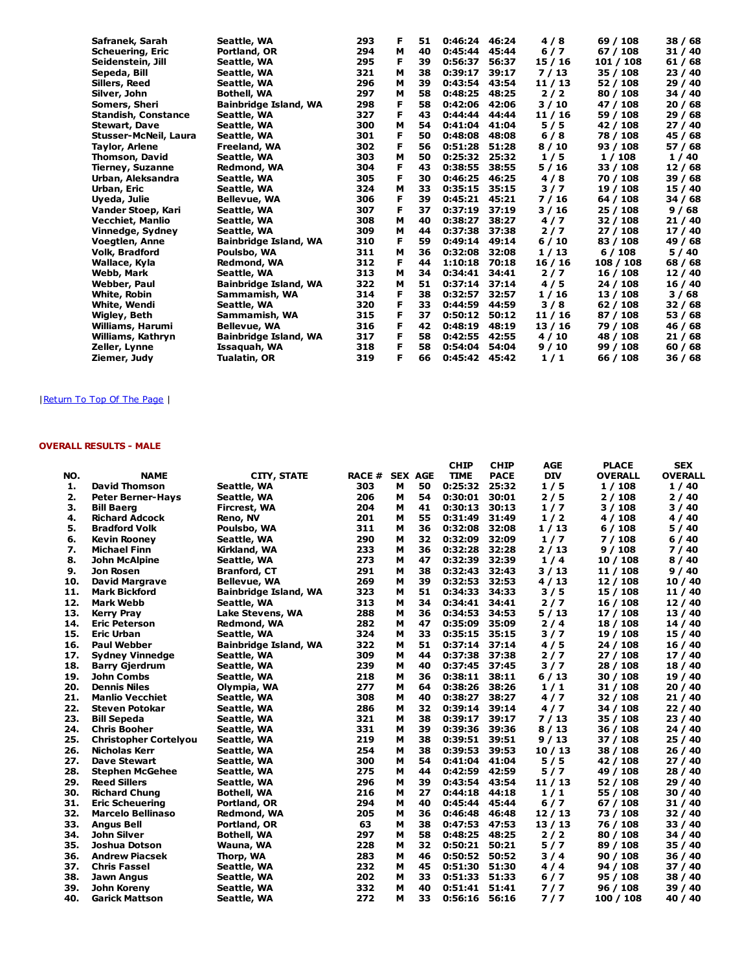| Safranek, Sarah       | Seattle, WA                  | 293 | F | 51 | 0:46:24 | 46:24 | 4/8     | 69 / 108  | 38/68   |
|-----------------------|------------------------------|-----|---|----|---------|-------|---------|-----------|---------|
| Scheuering, Eric      | Portland, OR                 | 294 | М | 40 | 0:45:44 | 45:44 | $6/7$   | 67 / 108  | 31 / 40 |
| Seidenstein, Jill     | Seattle, WA                  | 295 | F | 39 | 0:56:37 | 56:37 | 15 / 16 | 101 / 108 | 61 / 68 |
| Sepeda, Bill          | Seattle, WA                  | 321 | м | 38 | 0:39:17 | 39:17 | 7/13    | 35 / 108  | 23 / 40 |
| Sillers, Reed         | Seattle, WA                  | 296 | м | 39 | 0:43:54 | 43:54 | 11/13   | 52 / 108  | 29/40   |
| Silver, John          | Bothell, WA                  | 297 | М | 58 | 0:48:25 | 48:25 | $2/2$   | 80 / 108  | 34 / 40 |
| Somers, Sheri         | <b>Bainbridge Island, WA</b> | 298 | F | 58 | 0:42:06 | 42:06 | 3/10    | 47 / 108  | 20/68   |
| Standish, Constance   | Seattle, WA                  | 327 | F | 43 | 0:44:44 | 44:44 | 11 / 16 | 59 / 108  | 29/68   |
| Stewart, Dave         | Seattle, WA                  | 300 | М | 54 | 0:41:04 | 41:04 | 5/5     | 42 / 108  | 27 / 40 |
| Stusser-McNeil, Laura | Seattle, WA                  | 301 | F | 50 | 0:48:08 | 48:08 | 6/8     | 78 / 108  | 45 / 68 |
| Taylor, Arlene        | Freeland, WA                 | 302 | F | 56 | 0:51:28 | 51:28 | 8/10    | 93 / 108  | 57 / 68 |
| Thomson, David        | Seattle, WA                  | 303 | М | 50 | 0:25:32 | 25:32 | 1/5     | 1/108     | 1/40    |
| Tierney, Suzanne      | <b>Redmond, WA</b>           | 304 | F | 43 | 0:38:55 | 38:55 | 5/16    | 33 / 108  | 12/68   |
| Urban, Aleksandra     | Seattle, WA                  | 305 | F | 30 | 0:46:25 | 46:25 | 4/8     | 70 / 108  | 39/68   |
| Urban, Eric           | Seattle, WA                  | 324 | м | 33 | 0:35:15 | 35:15 | 3/7     | 19 / 108  | 15 / 40 |
| Uveda, Julie          | <b>Bellevue, WA</b>          | 306 | F | 39 | 0:45:21 | 45:21 | 7/16    | 64 / 108  | 34 / 68 |
| Vander Stoep, Kari    | Seattle, WA                  | 307 | F | 37 | 0:37:19 | 37:19 | 3/16    | 25 / 108  | 9 / 68  |
| Vecchiet, Manlio      | Seattle, WA                  | 308 | М | 40 | 0:38:27 | 38:27 | 4/7     | 32 / 108  | 21/40   |
| Vinnedge, Sydney      | Seattle, WA                  | 309 | м | 44 | 0:37:38 | 37:38 | 2/7     | 27 / 108  | 17 / 40 |
| Voegtlen, Anne        | <b>Bainbridge Island, WA</b> | 310 | F | 59 | 0:49:14 | 49:14 | 6/10    | 83 / 108  | 49 / 68 |
| Volk, Bradford        | Poulsbo, WA                  | 311 | М | 36 | 0:32:08 | 32:08 | 1/13    | 6/108     | 5 / 40  |
| Wallace, Kyla         | Redmond, WA                  | 312 | F | 44 | 1:10:18 | 70:18 | 16/16   | 108 / 108 | 68 / 68 |
| Webb, Mark            | Seattle, WA                  | 313 | м | 34 | 0:34:41 | 34:41 | 2/7     | 16 / 108  | 12/40   |
| Webber, Paul          | <b>Bainbridge Island, WA</b> | 322 | м | 51 | 0:37:14 | 37:14 | 4/5     | 24 / 108  | 16 / 40 |
| White, Robin          | Sammamish, WA                | 314 | F | 38 | 0:32:57 | 32:57 | 1/16    | 13 / 108  | 3 / 68  |
| White, Wendi          | Seattle, WA                  | 320 | F | 33 | 0:44:59 | 44:59 | 3/8     | 62 / 108  | 32 / 68 |
| Wigley, Beth          | Sammamish, WA                | 315 | F | 37 | 0:50:12 | 50:12 | 11 / 16 | 87 / 108  | 53 / 68 |
| Williams, Harumi      | <b>Bellevue, WA</b>          | 316 | F | 42 | 0:48:19 | 48:19 | 13/16   | 79 / 108  | 46 / 68 |
| Williams, Kathryn     | <b>Bainbridge Island, WA</b> | 317 | F | 58 | 0:42:55 | 42:55 | 4/10    | 48 / 108  | 21/68   |
| Zeller, Lynne         | Issaquah, WA                 | 318 | F | 58 | 0:54:04 | 54:04 | 9/10    | 99 / 108  | 60/68   |
| Ziemer, Judy          | Tualatin, OR                 | 319 | F | 66 | 0:45:42 | 45:42 | 1/1     | 66 / 108  | 36 / 68 |
|                       |                              |     |   |    |         |       |         |           |         |

### | Return To Top Of The Page |

## OVERALL RESULTS - MALE

|     |                              |                              |                       |   |    | <b>CHIP</b>   | <b>CHIP</b> | <b>AGE</b> | <b>PLACE</b>   | <b>SEX</b>     |
|-----|------------------------------|------------------------------|-----------------------|---|----|---------------|-------------|------------|----------------|----------------|
| NO. | <b>NAME</b>                  | <b>CITY, STATE</b>           | <b>RACE # SEX AGE</b> |   |    | <b>TIME</b>   | <b>PACE</b> | <b>DIV</b> | <b>OVERALL</b> | <b>OVERALL</b> |
| 1.  | <b>David Thomson</b>         | Seattle, WA                  | 303                   | м | 50 | 0:25:32       | 25:32       | 1/5        | 1/108          | 1/40           |
| 2.  | <b>Peter Berner-Hays</b>     | Seattle, WA                  | 206                   | м | 54 | 0:30:01       | 30:01       | 2/5        | 2/108          | 2/40           |
| з.  | <b>Bill Baerg</b>            | Fircrest, WA                 | 204                   | М | 41 | 0:30:13       | 30:13       | 1/7        | 3/108          | 3/40           |
| 4.  | <b>Richard Adcock</b>        | Reno, NV                     | 201                   | м | 55 | 0:31:49       | 31:49       | 1/2        | 4 / 108        | 4/40           |
| 5.  | <b>Bradford Volk</b>         | Poulsbo, WA                  | 311                   | м | 36 | 0:32:08       | 32:08       | 1/13       | 6/108          | 5/40           |
| 6.  | <b>Kevin Rooney</b>          | Seattle, WA                  | 290                   | м | 32 | 0:32:09       | 32:09       | 1/7        | 7 / 108        | 6/40           |
| 7.  | <b>Michael Finn</b>          | Kirkland, WA                 | 233                   | M | 36 | 0:32:28       | 32:28       | 2/13       | 9/108          | 7/40           |
| 8.  | John McAlpine                | Seattle, WA                  | 273                   | м | 47 | 0:32:39       | 32:39       | 1/4        | 10 / 108       | 8/40           |
| 9.  | Jon Rosen                    | <b>Branford, CT</b>          | 291                   | м | 38 | 0:32:43       | 32:43       | 3/13       | 11 / 108       | 9/40           |
| 10. | <b>David Margrave</b>        | <b>Bellevue, WA</b>          | 269                   | М | 39 | 0:32:53       | 32:53       | 4/13       | 12/108         | 10/40          |
| 11. | <b>Mark Bickford</b>         | <b>Bainbridge Island, WA</b> | 323                   | м | 51 | 0:34:33       | 34:33       | 3/5        | 15 / 108       | 11 / 40        |
| 12. | Mark Webb                    | Seattle, WA                  | 313                   | м | 34 | 0:34:41       | 34:41       | $2/7$      | 16 / 108       | 12/40          |
| 13. | <b>Kerry Pray</b>            | Lake Stevens, WA             | 288                   | м | 36 | 0:34:53       | 34:53       | 5/13       | 17 / 108       | 13 / 40        |
| 14. | <b>Eric Peterson</b>         | Redmond, WA                  | 282                   | М | 47 | 0:35:09       | 35:09       | 2/4        | 18 / 108       | 14 / 40        |
| 15. | Eric Urban                   | Seattle, WA                  | 324                   | м | 33 | 0:35:15       | 35:15       | 3/7        | 19 / 108       | 15 / 40        |
| 16. | <b>Paul Webber</b>           | <b>Bainbridge Island, WA</b> | 322                   | м | 51 | 0:37:14       | 37:14       | 4/5        | 24 / 108       | 16 / 40        |
| 17. | <b>Sydney Vinnedge</b>       | Seattle, WA                  | 309                   | м | 44 | 0:37:38       | 37:38       | 2/7        | 27 / 108       | 17/40          |
| 18. | <b>Barry Gjerdrum</b>        | Seattle, WA                  | 239                   | М | 40 | 0:37:45       | 37:45       | 3/7        | 28 / 108       | 18 / 40        |
| 19. | <b>John Combs</b>            | Seattle, WA                  | 218                   | м | 36 | 0:38:11       | 38:11       | 6/13       | 30/108         | 19/40          |
| 20. | <b>Dennis Niles</b>          | Olympia, WA                  | 277                   | м | 64 | 0:38:26       | 38:26       | 1/1        | 31 / 108       | 20/40          |
| 21. | <b>Manlio Vecchiet</b>       | Seattle, WA                  | 308                   | м | 40 | 0:38:27       | 38:27       | 4/7        | 32 / 108       | 21/40          |
| 22. | <b>Steven Potokar</b>        | Seattle, WA                  | 286                   | М | 32 | 0:39:14       | 39:14       | 4/7        | 34 / 108       | 22/40          |
| 23. | <b>Bill Sepeda</b>           | Seattle, WA                  | 321                   | М | 38 | 0:39:17       | 39:17       | 7/13       | 35 / 108       | 23/40          |
| 24. | <b>Chris Booher</b>          | Seattle, WA                  | 331                   | м | 39 | 0:39:36       | 39:36       | 8/13       | 36 / 108       | 24 / 40        |
| 25. | <b>Christopher Cortelyou</b> | Seattle, WA                  | 219                   | м | 38 | 0:39:51       | 39:51       | 9/13       | 37 / 108       | 25/40          |
| 26. | <b>Nicholas Kerr</b>         | Seattle, WA                  | 254                   | м | 38 | 0:39:53       | 39:53       | 10/13      | 38 / 108       | 26/40          |
| 27. | <b>Dave Stewart</b>          | Seattle, WA                  | 300                   | м | 54 | 0:41:04       | 41:04       | 5/5        | 42 / 108       | 27/40          |
| 28. | <b>Stephen McGehee</b>       | Seattle, WA                  | 275                   | м | 44 | 0:42:59       | 42:59       | 5/7        | 49 / 108       | 28 / 40        |
| 29. | <b>Reed Sillers</b>          | Seattle, WA                  | 296                   | м | 39 | 0:43:54 43:54 |             | 11/13      | 52 / 108       | 29/40          |
| 30. | <b>Richard Chung</b>         | <b>Bothell, WA</b>           | 216                   | м | 27 | 0:44:18       | 44:18       | 1/1        | 55 / 108       | 30/40          |
| 31. | <b>Eric Scheuering</b>       | Portland, OR                 | 294                   | М | 40 | 0:45:44       | 45:44       | $6/7$      | 67 / 108       | 31/40          |
| 32. | <b>Marcelo Bellinaso</b>     | Redmond, WA                  | 205                   | м | 36 | 0:46:48       | 46:48       | 12/13      | 73 / 108       | 32 / 40        |
| 33. | <b>Angus Bell</b>            | Portland, OR                 | 63                    | м | 38 | 0:47:53       | 47:53       | 13/13      | 76 / 108       | 33 / 40        |
| 34. | <b>John Silver</b>           | <b>Bothell, WA</b>           | 297                   | м | 58 | 0:48:25       | 48:25       | 2/2        | 80 / 108       | 34 / 40        |
| 35. | Joshua Dotson                | Wauna, WA                    | 228                   | м | 32 | 0:50:21       | 50:21       | 5/7        | 89 / 108       | 35/40          |
| 36. | <b>Andrew Piacsek</b>        | Thorp, WA                    | 283                   | М | 46 | 0:50:52       | 50:52       | 3/4        | 90/108         | 36/40          |
| 37. | <b>Chris Fassel</b>          | Seattle, WA                  | 232                   | м | 45 | 0:51:30       | 51:30       | 4/4        | 94 / 108       | 37 / 40        |
| 38. | Jawn Angus                   | Seattle, WA                  | 202                   | м | 33 | 0:51:33       | 51:33       | $6/7$      | 95 / 108       | 38 / 40        |
| 39. | John Koreny                  | Seattle, WA                  | 332                   | м | 40 | 0:51:41       | 51:41       | 7/7        | 96/108         | 39 / 40        |
| 40. | <b>Garick Mattson</b>        | Seattle, WA                  | 272                   | м | 33 | 0:56:16       | 56:16       | 7/7        | 100 / 108      | 40 / 40        |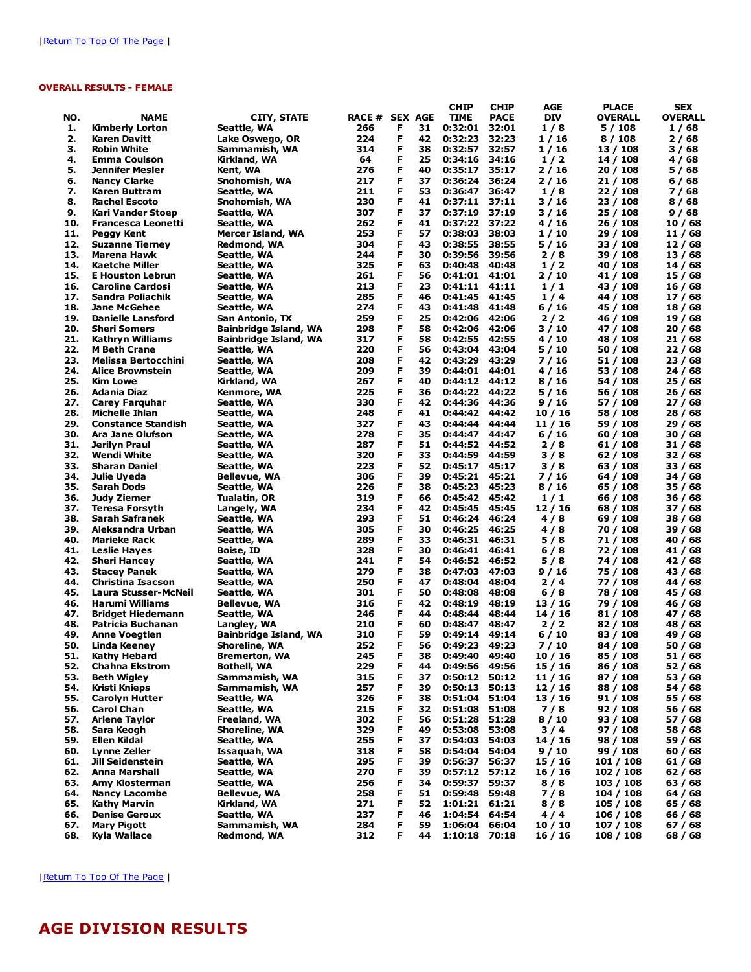### OVERALL RESULTS - FEMALE

|            |                                                |                                            |                |        |          | <b>CHIP</b>        | <b>CHIP</b>    | AGE              | <b>PLACE</b>         | <b>SEX</b>         |
|------------|------------------------------------------------|--------------------------------------------|----------------|--------|----------|--------------------|----------------|------------------|----------------------|--------------------|
| NO.        | <b>NAME</b>                                    | <b>CITY, STATE</b>                         | RACE # SEX AGE |        |          | <b>TIME</b>        | <b>PACE</b>    | <b>DIV</b>       | <b>OVERALL</b>       | <b>OVERALL</b>     |
| 1.         | <b>Kimberly Lorton</b>                         | Seattle, WA                                | 266            | F      | 31       | 0:32:01            | 32:01          | 1/8              | 5 / 108              | 1/68               |
| 2.         | Karen Davitt                                   | Lake Oswego, OR                            | 224            | F      | 42       | 0:32:23            | 32:23          | 1 / 16           | 8/108                | 2/68               |
| з.         | <b>Robin White</b>                             | Sammamish, WA                              | 314            | F      | 38       | 0:32:57            | 32:57          | 1 / 16           | 13 / 108             | 3 / 68             |
| 4.         | <b>Emma Coulson</b>                            | Kirkland, WA                               | 64             | F      | 25       | 0:34:16            | 34:16          | 1/2              | 14 / 108             | 4/68               |
| 5.         | Jennifer Mesler                                | Kent, WA                                   | 276            | F      | 40       | 0:35:17            | 35:17          | 2 / 16           | 20 / 108             | 5 / 68             |
| 6.         | <b>Nancy Clarke</b>                            | Snohomish, WA                              | 217            | F      | 37       | 0:36:24            | 36:24          | 2 / 16           | 21 / 108             | 6/68               |
| 7.<br>8.   | Karen Buttram                                  | Seattle, WA                                | 211<br>230     | F<br>F | 53<br>41 | 0:36:47            | 36:47<br>37:11 | 1/8<br>3/16      | 22 / 108             | 7/68               |
| 9.         | <b>Rachel Escoto</b>                           | Snohomish, WA                              | 307            | F      | 37       | 0:37:11<br>0:37:19 | 37:19          |                  | 23 / 108             | 8 / 68             |
| 10.        | Kari Vander Stoep<br><b>Francesca Leonetti</b> | Seattle, WA                                | 262            | F      | 41       | 0:37:22            | 37:22          | 3 / 16<br>4 / 16 | 25 / 108<br>26 / 108 | 9/68<br>10/68      |
| 11.        | Peggy Kent                                     | Seattle, WA<br>Mercer Island, WA           | 253            | F      | 57       | 0:38:03            | 38:03          | 1/10             | 29 / 108             | 11 / 68            |
| 12.        | <b>Suzanne Tierney</b>                         | Redmond, WA                                | 304            | F      | 43       | 0:38:55            | 38:55          | 5 / 16           | 33 / 108             | 12/68              |
| 13.        | Marena Hawk                                    | Seattle, WA                                | 244            | F      | 30       | 0:39:56            | 39:56          | 2/8              | 39 / 108             | 13 / 68            |
| 14.        | Kaetche Miller                                 | Seattle, WA                                | 325            | F      | 63       | 0:40:48            | 40:48          | 1/2              | 40 / 108             | 14 / 68            |
| 15.        | <b>E Houston Lebrun</b>                        | Seattle, WA                                | 261            | F      | 56       | 0:41:01            | 41:01          | 2 / 10           | 41 / 108             | 15 / 68            |
| 16.        | <b>Caroline Cardosi</b>                        | Seattle, WA                                | 213            | F      | 23       | 0:41:11            | 41:11          | 1/1              | 43 / 108             | 16 / 68            |
| 17.        | Sandra Poliachik                               | Seattle, WA                                | 285            | F      | 46       | 0:41:45            | 41:45          | 1/4              | 44 / 108             | 17 / 68            |
| 18.        | <b>Jane McGehee</b>                            | Seattle, WA                                | 274            | F      | 43       | 0:41:48            | 41:48          | 6/16             | 45 / 108             | 18 / 68            |
| 19.        | <b>Danielle Lansford</b>                       | San Antonio, TX                            | 259            | F      | 25       | 0:42:06            | 42:06          | 2/2              | 46 / 108             | 19 / 68            |
| 20.        | <b>Sheri Somers</b>                            | <b>Bainbridge Island, WA</b>               | 298            | F      | 58       | 0:42:06            | 42:06          | 3 / 10           | 47 / 108             | 20/68              |
| 21.        | Kathryn Williams                               | <b>Bainbridge Island, WA</b>               | 317            | F      | 58       | 0:42:55            | 42:55          | 4/10             | 48 / 108             | 21 / 68            |
| 22.        | <b>M Beth Crane</b>                            | Seattle, WA                                | 220            | F      | 56       | 0:43:04            | 43:04          | 5 / 10           | 50 / 108             | 22 / 68            |
| 23.        | <b>Melissa Bertocchini</b>                     | Seattle, WA                                | 208            | F      | 42       | 0:43:29            | 43:29          | 7 / 16           | 51 / 108             | 23 / 68            |
| 24.        | <b>Alice Brownstein</b>                        | Seattle, WA                                | 209            | F      | 39       | 0:44:01            | 44:01          | 4 / 16           | 53 / 108             | 24 / 68            |
| 25.        | <b>Kim Lowe</b>                                | Kirkland, WA                               | 267            | F      | 40       | 0:44:12            | 44:12          | 8/16             | 54 / 108             | 25 / 68            |
| 26.        | Adania Diaz                                    | Kenmore, WA                                | 225            | F      | 36       | 0:44:22            | 44:22          | 5/16             | 56 / 108             | 26/68              |
| 27.        | <b>Carey Farguhar</b>                          | Seattle, WA                                | 330            | F      | 42       | 0:44:36            | 44:36          | 9/16             | 57 / 108             | 27 / 68            |
| 28.        | Michelle Ihlan                                 | Seattle, WA                                | 248            | F      | 41       | 0:44:42            | 44:42          | 10 / 16          | 58 / 108             | 28 / 68            |
| 29.        | <b>Constance Standish</b>                      | Seattle, WA                                | 327            | F      | 43       | 0:44:44            | 44:44          | 11 / 16          | 59 / 108             | 29 / 68            |
| 30.        | <b>Ara Jane Olufson</b>                        | Seattle, WA                                | 278            | F      | 35       | 0:44:47            | 44:47          | 6/16             | 60 / 108             | 30 / 68            |
| 31.        | Jerilyn Praul                                  | Seattle, WA                                | 287            | F      | 51       | 0:44:52            | 44:52          | 2/8              | 61 / 108             | 31 / 68            |
| 32.        | Wendi White                                    | Seattle, WA                                | 320            | F      | 33       | 0:44:59            | 44:59          | 3/8              | 62 / 108             | 32 / 68            |
| 33.        | <b>Sharan Daniel</b>                           | Seattle, WA                                | 223            | F      | 52       | 0:45:17            | 45:17          | 3 / 8            | 63 / 108             | 33 / 68            |
| 34.        | Julie Uyeda                                    | Bellevue, WA                               | 306            | F      | 39       | 0:45:21            | 45:21          | 7 / 16           | 64 / 108             | 34 / 68            |
| 35.        | <b>Sarah Dods</b>                              | Seattle, WA                                | 226            | F      | 38       | 0:45:23            | 45:23          | 8/16             | 65 / 108             | 35 / 68            |
| 36.        | Judy Ziemer                                    | Tualatin, OR                               | 319            | F      | 66       | 0:45:42 45:42      |                | 1/1              | 66 / 108             | 36 / 68            |
| 37.        | <b>Teresa Forsyth</b>                          | Langely, WA                                | 234            | F      | 42       | 0:45:45            | 45:45          | 12/16            | 68 / 108             | 37 / 68            |
| 38.        | Sarah Safranek                                 | Seattle, WA                                | 293            | F      | 51       | 0:46:24            | 46:24          | 4 / 8            | 69 / 108             | 38 / 68            |
| 39.        | Aleksandra Urban                               | Seattle, WA                                | 305            | F      | 30       | 0:46:25            | 46:25          | 4/8              | 70 / 108             | 39 / 68            |
| 40.        | <b>Marieke Rack</b>                            | Seattle, WA                                | 289            | F      | 33       | 0:46:31            | 46:31          | 5 / 8            | 71 / 108             | 40 / 68            |
| 41.        | Leslie Hayes                                   | Boise, ID                                  | 328            | F      | 30       | 0:46:41            | 46:41          | 6 / 8            | 72 / 108             | 41 / 68            |
| 42.        | <b>Sheri Hancey</b>                            | Seattle, WA                                | 241            | F      | 54       | 0:46:52            | 46:52          | 5/8              | 74 / 108             | 42 / 68            |
| 43.        | <b>Stacey Panek</b>                            | Seattle, WA                                | 279            | F      | 38       | 0:47:03            | 47:03          | 9 / 16           | 75 / 108             | 43 / 68            |
| 44.        | Christina Isacson                              | Seattle, WA                                | 250            | F      | 47       | 0:48:04            | 48:04          | 2/4              | 77 / 108             | 44 / 68            |
| 45.        | Laura Stusser-McNeil                           | Seattle, WA                                | 301            | F      | 50       | 0:48:08            | 48:08          | 6 / 8            | 78 / 108             | 45 / 68            |
| 46.        | <b>Harumi Williams</b>                         | Bellevue, WA                               | 316            | F      | 42       | 0:48:19            | 48:19          | 13 / 16          | 79 / 108             | 46 / 68            |
| 47.        | <b>Bridget Hiedemann</b>                       | Seattle, WA                                | 246            | F<br>F | 44       | 0:48:44            | 48:44          | 14 / 16          | 81 / 108             | 47 / 68            |
| 48.        | Patricia Buchanan                              | Langley, WA                                | 210            | F      | 60       | 0:48:47            | 48:47<br>49:14 | 2/2              | 82 / 108             | 48 / 68            |
| 49.        | <b>Anne Voegtlen</b>                           | Bainbridge Island, WA                      | 310<br>252     | F      | 59<br>56 | 0:49:14            | 49:23          | 6 / 10           | 83 / 108             | 49 / 68            |
| 50.        | Linda Keeney                                   | Shoreline, WA                              |                |        |          | 0:49:23            |                | 7 / 10           | 84 / 108             | 50 / 68            |
| 51.<br>52. | Kathy Hebard<br><b>Chahna Ekstrom</b>          | <b>Bremerton, WA</b><br><b>Bothell, WA</b> | 245<br>229     | F<br>F | 38<br>44 | 0:49:40<br>0:49:56 | 49:40<br>49:56 | 10/16<br>15 / 16 | 85 / 108<br>86 / 108 | 51 / 68<br>52 / 68 |
| 53.        | Beth Wigley                                    | Sammamish, WA                              | 315            | F      | 37       | 0:50:12            | 50:12          | 11 / 16          | 87 / 108             | 53 / 68            |
| 54.        | Kristi Knieps                                  | Sammamish, WA                              | 257            | F      | 39       | 0:50:13            | 50:13          | 12/16            | 88 / 108             | 54/68              |
| 55.        | <b>Carolyn Hutter</b>                          | Seattle, WA                                | 326            | F      | 38       | 0:51:04 51:04      |                | 13/16            | 91 / 108             | 55 / 68            |
| 56.        | <b>Carol Chan</b>                              | Seattle, WA                                | 215            | F      | 32       | 0:51:08            | 51:08          | 7/8              | 92/108               | 56 / 68            |
| 57.        | <b>Arlene Taylor</b>                           | Freeland, WA                               | 302            | F      | 56       | 0:51:28            | 51:28          | 8/10             | 93 / 108             | 57 / 68            |
| 58.        | Sara Keogh                                     | Shoreline, WA                              | 329            | F      | 49       | 0:53:08            | 53:08          | 3/4              | 97 / 108             | 58 / 68            |
| 59.        | Ellen Kildal                                   | Seattle, WA                                | 255            | F      | 37       | 0:54:03            | 54:03          | 14/16            | 98 / 108             | 59 / 68            |
| 60.        | <b>Lynne Zeller</b>                            | Issaquah, WA                               | 318            | F      | 58       | 0:54:04            | 54:04          | 9/10             | 99 / 108             | 60/68              |
| 61.        | Jill Seidenstein                               | Seattle, WA                                | 295            | F      | 39       | 0:56:37            | 56:37          | 15 / 16          | 101 / 108            | 61 / 68            |
| 62.        | <b>Anna Marshall</b>                           | Seattle, WA                                | 270            | F      | 39       | 0:57:12            | 57:12          | 16 / 16          | 102 / 108            | 62 / 68            |
| 63.        | Amy Klosterman                                 | Seattle, WA                                | 256            | F      | 34       | 0:59:37            | 59:37          | 8/8              | 103 / 108            | 63 / 68            |
| 64.        | <b>Nancy Lacombe</b>                           | Bellevue, WA                               | 258            | F      | 51       | 0:59:48            | 59:48          | 7/8              | 104 / 108            | 64 / 68            |
| 65.        | <b>Kathy Marvin</b>                            | Kirkland, WA                               | 271            | F      | 52       | 1:01:21 61:21      |                | 8/8              | 105 / 108            | 65 / 68            |
| 66.        | <b>Denise Geroux</b>                           | Seattle, WA                                | 237            | F      | 46       | 1:04:54            | 64:54          | 4/4              | 106 / 108            | 66 / 68            |
| 67.        | <b>Mary Pigott</b>                             | Sammamish, WA                              | 284            | F      | 59       | 1:06:04            | 66:04          | 10/10            | 107 / 108            | 67 / 68            |
| 68.        | Kyla Wallace                                   | Redmond, WA                                | 312            | F      | 44       | 1:10:18 70:18      |                | 16 / 16          | 108 / 108            | 68 / 68            |

| Return To Top Of The Page |

# AGE DIVISION RESULTS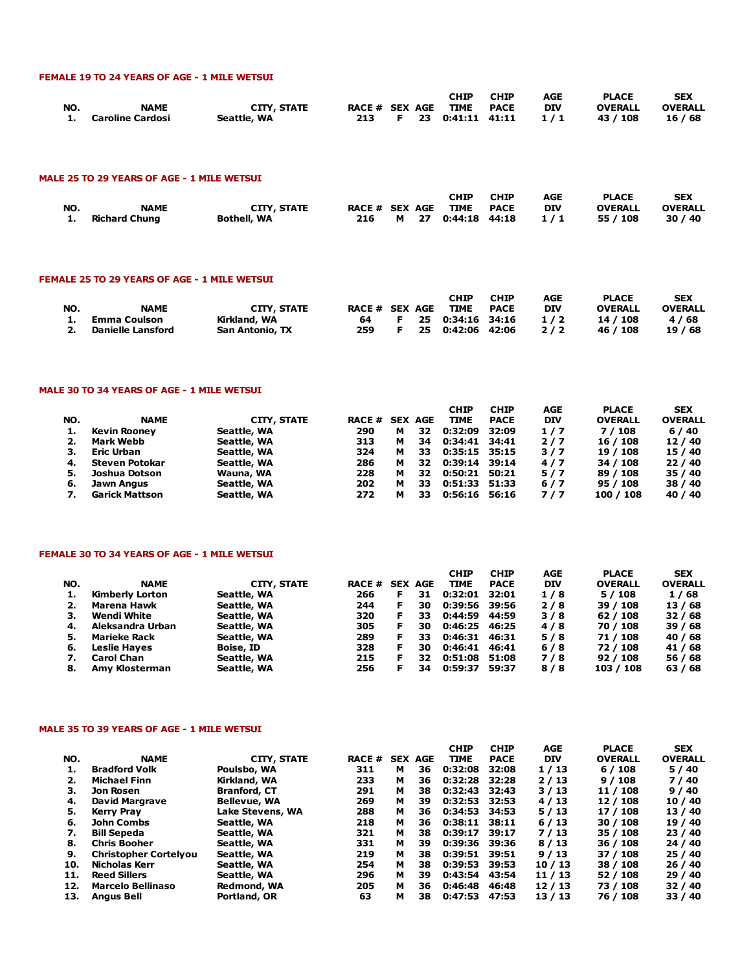#### FEMALE 19 TO 24 YEARS OF AGE - 1 MILE WETSUI

|     |                     |                    |                     |  | CHIP               | <b>CHIP</b> | <b>AGE</b> | <b>PLACE</b>   | <b>SEX</b>     |
|-----|---------------------|--------------------|---------------------|--|--------------------|-------------|------------|----------------|----------------|
| NO. | <b>NAME</b>         | <b>CITY, STATE</b> | RACE # SEX AGE TIME |  |                    | <b>PACE</b> | <b>DIV</b> | <b>OVERALL</b> | <b>OVERALL</b> |
|     | 1. Caroline Cardosi | Seattle, WA        | 213                 |  | F 23 0:41:11 41:11 |             | 1/1        | 43 / 108       | 16 / 68        |

#### MALE 25 TO 29 YEARS OF AGE - 1 MILE WETSUI

| NO. | <b>NAME</b><br>1. Richard Chung | <b>CITY, STATE</b><br>Bothell, WA | 216 | M 27 | <b>CHIP</b><br>RACE # SEX AGE TIME PACE<br>0:44:18 44:18 | <b>CHIP</b> | AGE<br><b>DIV</b><br>1/1 | <b>PLACE</b><br><b>OVERALL</b><br>55 / 108 | <b>SEX</b><br><b>OVERALL</b><br>30/40 |
|-----|---------------------------------|-----------------------------------|-----|------|----------------------------------------------------------|-------------|--------------------------|--------------------------------------------|---------------------------------------|
|     |                                 |                                   |     |      |                                                          |             |                          |                                            |                                       |

#### FEMALE 25 TO 29 YEARS OF AGE - 1 MILE WETSUI

|     |                          |                        |                |    | CHIP             | <b>CHIP</b> | AGE | <b>PLACE</b>   | <b>SEX</b>     |
|-----|--------------------------|------------------------|----------------|----|------------------|-------------|-----|----------------|----------------|
| NO. | <b>NAME</b>              | CITY, STATE            | RACE # SEX AGE |    | <b>TIME</b>      | <b>PACE</b> | DIV | <b>OVERALL</b> | <b>OVERALL</b> |
|     | Emma Coulson             | Kirkland, WA           | 64             | F. | 25 0:34:16 34:16 |             | 1/2 | 14 / 108       | 4/68           |
|     | <b>Danielle Lansford</b> | <b>San Antonio, TX</b> | 259            |    | 25 0:42:06 42:06 |             | 2/2 | 46 / 108       | 19/68          |

#### MALE 30 TO 34 YEARS OF AGE - 1 MILE WETSUI

| NO. | <b>NAME</b>           | <b>CITY, STATE</b> | <b>RACE # SEX AGE</b> |   |     | <b>CHIP</b><br><b>TIME</b> | <b>CHIP</b><br><b>PACE</b> | AGE<br><b>DIV</b> | <b>PLACE</b><br><b>OVERALL</b> | <b>SEX</b><br><b>OVERALL</b> |
|-----|-----------------------|--------------------|-----------------------|---|-----|----------------------------|----------------------------|-------------------|--------------------------------|------------------------------|
| 1.  | <b>Kevin Rooney</b>   | Seattle, WA        | 290                   | м | 32  | 0:32:09                    | 32:09                      | 1/7               | 7 / 108                        | 6/40                         |
| 2.  | Mark Webb             | Seattle, WA        | 313                   | м | 34  | 0:34:41                    | 34:41                      | 2/7               | 16 / 108                       | 12/40                        |
| з.  | Eric Urban            | Seattle, WA        | 324                   | м | 33. | 0:35:15 35:15              |                            | 3/7               | 19 / 108                       | 15 / 40                      |
| 4.  | Steven Potokar        | Seattle, WA        | 286                   | м | 32  | 0:39:14                    | 39:14                      | 4/7               | 34 / 108                       | 22/40                        |
| 5.  | Joshua Dotson         | Wauna, WA          | 228                   | м | 32  | 0:50:21                    | 50:21                      | 5/7               | 89 / 108                       | 35 / 40                      |
| 6.  | Jawn Angus            | Seattle, WA        | 202                   | м | 33  | 0:51:33 51:33              |                            | $6/7$             | 95 / 108                       | 38 / 40                      |
| 7.  | <b>Garick Mattson</b> | Seattle, WA        | 272                   | м | 33  | 0:56:16                    | 56:16                      | 7/7               | 100 / 108                      | 40 / 40                      |

#### FEMALE 30 TO 34 YEARS OF AGE - 1 MILE WETSUI

| NO. | <b>NAME</b>            | <b>CITY, STATE</b> | <b>RACE #</b> |    | <b>SEX AGE</b> | <b>CHIP</b><br><b>TIME</b> | <b>CHIP</b><br><b>PACE</b> | AGE<br><b>DIV</b> | <b>PLACE</b><br><b>OVERALL</b> | <b>SEX</b><br><b>OVERALL</b> |
|-----|------------------------|--------------------|---------------|----|----------------|----------------------------|----------------------------|-------------------|--------------------------------|------------------------------|
| 1.  | <b>Kimberly Lorton</b> | Seattle, WA        | 266           | F. | 31             | 0:32:01                    | 32:01                      | 1/8               | 5/108                          | 1/68                         |
| 2.  | Marena Hawk            | Seattle, WA        | 244           | F  | 30             | 0:39:56 39:56              |                            | 2/8               | 39 / 108                       | 13/68                        |
| з.  | Wendi White            | Seattle, WA        | 320           | F  | 33             | 0:44:59                    | 44:59                      | 3/8               | 62/108                         | 32/68                        |
| 4.  | Aleksandra Urban       | Seattle, WA        | 305           | F. | 30             | 0:46:25 46:25              |                            | 4/8               | 70 / 108                       | 39/68                        |
| 5.  | <b>Marieke Rack</b>    | Seattle, WA        | 289           | F  | 33.            | 0:46:31 46:31              |                            | 5/8               | 71 / 108                       | 40 / 68                      |
| 6.  | <b>Leslie Hayes</b>    | Boise, ID          | 328           | F  | 30             | 0:46:41                    | 46:41                      | 6/8               | 72 / 108                       | 41 / 68                      |
| 7.  | <b>Carol Chan</b>      | Seattle, WA        | 215           |    | 32             | 0:51:08                    | 51:08                      | 7/8               | 92/108                         | 56 / 68                      |
| 8.  | Amy Klosterman         | Seattle, WA        | 256           |    | 34             | 0:59:37                    | 59:37                      | 8/8               | 103 / 108                      | 63/68                        |

#### MALE 35 TO 39 YEARS OF AGE - 1 MILE WETSUI

|     |                              |                     |              |   |                | <b>CHIP</b>   | <b>CHIP</b> | AGE        | <b>PLACE</b>   | <b>SEX</b>     |
|-----|------------------------------|---------------------|--------------|---|----------------|---------------|-------------|------------|----------------|----------------|
| NO. | <b>NAME</b>                  | <b>CITY, STATE</b>  | <b>RACE#</b> |   | <b>SEX AGE</b> | <b>TIME</b>   | <b>PACE</b> | <b>DIV</b> | <b>OVERALL</b> | <b>OVERALL</b> |
| 1.  | <b>Bradford Volk</b>         | Poulsbo, WA         | 311          | м | 36             | 0:32:08       | 32:08       | 1/13       | 6/108          | 5/40           |
| 2.  | Michael Finn                 | Kirkland, WA        | 233          | м | 36             | 0:32:28 32:28 |             | 2/13       | 9/108          | 7/40           |
| з.  | Jon Rosen                    | <b>Branford, CT</b> | 291          | м | 38             | 0:32:43 32:43 |             | 3/13       | 11 / 108       | 9/40           |
| 4.  | <b>David Margrave</b>        | <b>Bellevue, WA</b> | 269          | м | 39             | 0:32:53 32:53 |             | 4/13       | 12 / 108       | 10/40          |
| 5.  | <b>Kerry Pray</b>            | Lake Stevens, WA    | 288          | м | 36             | 0:34:53       | 34:53       | 5/13       | 17 / 108       | 13 / 40        |
| 6.  | <b>John Combs</b>            | Seattle, WA         | 218          | м | 36             | 0:38:11       | 38:11       | 6/13       | 30 / 108       | 19 / 40        |
| 7.  | <b>Bill Sepeda</b>           | Seattle, WA         | 321          | м | 38             | 0:39:17       | 39:17       | 7/13       | 35 / 108       | 23/40          |
| 8.  | <b>Chris Booher</b>          | Seattle, WA         | 331          | м | 39             | 0:39:36       | 39:36       | 8/13       | 36 / 108       | 24 / 40        |
| 9.  | <b>Christopher Cortelyou</b> | Seattle, WA         | 219          | м | 38             | 0:39:51 39:51 |             | 9/13       | 37 / 108       | 25/40          |
| 10. | <b>Nicholas Kerr</b>         | Seattle, WA         | 254          | м | 38             | 0:39:53       | 39:53       | 10/13      | 38 / 108       | 26/40          |
| 11. | <b>Reed Sillers</b>          | Seattle, WA         | 296          | м | 39             | 0:43:54       | 43:54       | 11/13      | 52 / 108       | 29 / 40        |
| 12. | <b>Marcelo Bellinaso</b>     | Redmond, WA         | 205          | м | 36             | 0:46:48       | 46:48       | 12/13      | 73 / 108       | 32/40          |
| 13. | <b>Angus Bell</b>            | Portland, OR        | 63           | м | 38             | 0:47:53 47:53 |             | 13/13      | 76 / 108       | 33 / 40        |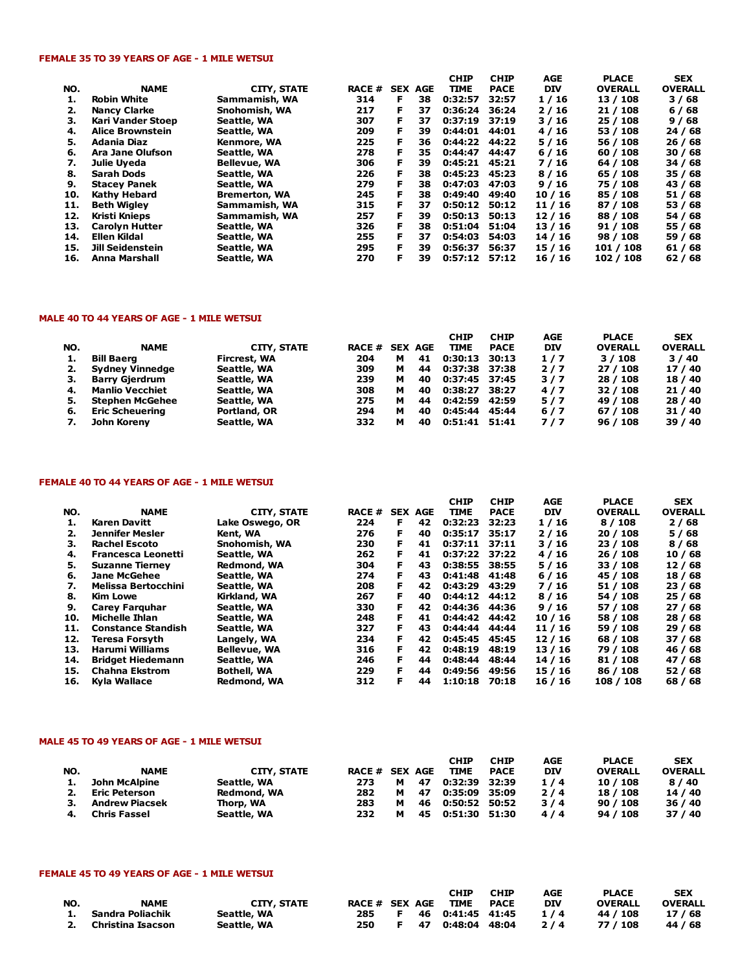#### FEMALE 35 TO 39 YEARS OF AGE - 1 MILE WETSUI

|                         |                      |     |    |        | <b>CHIP</b>    |             | AGE                                                         |                | <b>SEX</b>                  |
|-------------------------|----------------------|-----|----|--------|----------------|-------------|-------------------------------------------------------------|----------------|-----------------------------|
| <b>NAME</b>             | <b>CITY, STATE</b>   |     |    |        | <b>TIME</b>    | <b>PACE</b> | <b>DIV</b>                                                  | <b>OVERALL</b> | <b>OVERALL</b>              |
| <b>Robin White</b>      | Sammamish, WA        | 314 | F. | 38     | 0:32:57        | 32:57       | 1/16                                                        | 13 / 108       | 3/68                        |
| <b>Nancy Clarke</b>     | Snohomish, WA        | 217 | F. | 37     |                | 36:24       | 2/16                                                        | 21 / 108       | 6/68                        |
| Kari Vander Stoep       | Seattle, WA          | 307 | F. | 37     | 0:37:19        | 37:19       | 3/16                                                        | 25/108         | 9/68                        |
| <b>Alice Brownstein</b> | Seattle, WA          | 209 | F  | 39     | 0:44:01        | 44:01       | 4/16                                                        | 53 / 108       | 24/68                       |
| <b>Adania Diaz</b>      | Kenmore, WA          | 225 | F  | 36     |                | 44:22       | 5/16                                                        | 56 / 108       | 26/68                       |
| Ara Jane Olufson        | Seattle, WA          | 278 | F  | 35     | 0:44:47        | 44:47       | 6/16                                                        | 60/108         | 30/68                       |
| Julie Uveda             | <b>Bellevue, WA</b>  | 306 | F  | 39     |                |             | 7/16                                                        | 64 / 108       | 34 / 68                     |
| Sarah Dods              | Seattle, WA          | 226 | F  | 38     | 0:45:23        | 45:23       | 8/16                                                        | 65 / 108       | 35 / 68                     |
| <b>Stacey Panek</b>     | Seattle, WA          | 279 | F  | 38     | 0:47:03        | 47:03       | 9/16                                                        | 75 / 108       | 43 / 68                     |
| <b>Kathy Hebard</b>     | <b>Bremerton, WA</b> | 245 |    | 38     | 0:49:40        | 49:40       | 10/16                                                       | 85 / 108       | 51 / 68                     |
| Beth Wialev             | Sammamish, WA        | 315 | F  | 37     |                | 50:12       | 11 / 16                                                     | 87 / 108       | 53 / 68                     |
| Kristi Knieps           | Sammamish, WA        | 257 | F  | 39     | 0:50:13        | 50:13       | 12/16                                                       | 88 / 108       | 54 / 68                     |
| <b>Carolyn Hutter</b>   | Seattle, WA          | 326 | F  | 38     | 0:51:04        | 51:04       | 13/16                                                       | 91/108         | 55 / 68                     |
| Ellen Kildal            | Seattle, WA          | 255 | F  | 37     | 0:54:03        | 54:03       | 14/16                                                       | 98 / 108       | 59 / 68                     |
| <b>Jill Seidenstein</b> | Seattle, WA          | 295 | F  | 39     | 0:56:37        | 56:37       | 15/16                                                       | 101 / 108      | 61/68                       |
| <b>Anna Marshall</b>    | Seattle, WA          | 270 | F  | 39     |                | 57:12       | 16 / 16                                                     | 102 / 108      | 62/68                       |
|                         |                      |     |    | RACE # | <b>SEX AGE</b> |             | 0:36:24<br>0:44:22<br>$0:45:21$ 45:21<br>0:50:12<br>0:57:12 |                | <b>CHIP</b><br><b>PLACE</b> |

### MALE 40 TO 44 YEARS OF AGE - 1 MILE WETSUI

|     |                        |              |                |   |    | <b>CHIP</b>   | <b>CHIP</b> | AGE        | <b>PLACE</b>   | <b>SEX</b>     |
|-----|------------------------|--------------|----------------|---|----|---------------|-------------|------------|----------------|----------------|
| NO. | <b>NAME</b>            | CITY, STATE  | RACE # SEX AGE |   |    | <b>TIME</b>   | <b>PACE</b> | <b>DIV</b> | <b>OVERALL</b> | <b>OVERALL</b> |
|     | <b>Bill Baerg</b>      | Fircrest, WA | 204            | м | 41 | 0:30:13       | 30:13       | 1/7        | 3/108          | 3/40           |
|     | <b>Sydney Vinnedge</b> | Seattle, WA  | 309            | м | 44 | 0:37:38 37:38 |             | 2/7        | 27/108         | 17/40          |
|     | <b>Barry Gjerdrum</b>  | Seattle, WA  | 239            | м | 40 | 0:37:45 37:45 |             | 3/7        | 28 / 108       | 18 / 40        |
| 4.  | Manlio Vecchiet        | Seattle, WA  | 308            | м | 40 | 0:38:27       | 38:27       | 4/7        | 32/108         | 21/40          |
| 5.  | <b>Stephen McGehee</b> | Seattle, WA  | 275            | м | 44 | 0:42:59       | 42:59       | 5/7        | 49 / 108       | 28 / 40        |
| 6.  | <b>Eric Scheuering</b> | Portland, OR | 294            | м | 40 | 0:45:44       | 45:44       | 6/7        | 67 / 108       | 31 / 40        |
|     | John Koreny            | Seattle, WA  | 332            | м | 40 | 0:51:41 51:41 |             | 7/7        | 96/108         | 39 / 40        |

#### FEMALE 40 TO 44 YEARS OF AGE - 1 MILE WETSUI

|     |                            |                     |               |    |                | <b>CHIP</b>   | <b>CHIP</b> | <b>AGE</b> | <b>PLACE</b>   | <b>SEX</b>     |
|-----|----------------------------|---------------------|---------------|----|----------------|---------------|-------------|------------|----------------|----------------|
| NO. | <b>NAME</b>                | <b>CITY, STATE</b>  | <b>RACE #</b> |    | <b>SEX AGE</b> | <b>TIME</b>   | <b>PACE</b> | <b>DIV</b> | <b>OVERALL</b> | <b>OVERALL</b> |
| 1.  | Karen Davitt               | Lake Oswego, OR     | 224           | F. | 42             | 0:32:23       | 32:23       | 1/16       | 8/108          | 2/68           |
| 2.  | Jennifer Mesler            | Kent, WA            | 276           | F. | 40             | 0:35:17       | 35:17       | 2/16       | 20 / 108       | 5/68           |
| З.  | <b>Rachel Escoto</b>       | Snohomish, WA       | 230           | F. | 41             | 0:37:11       | 37:11       | 3/16       | 23/108         | 8/68           |
| 4.  | <b>Francesca Leonetti</b>  | Seattle, WA         | 262           | F  | 41             | 0:37:22 37:22 |             | 4/16       | 26/108         | 10/68          |
| 5.  | <b>Suzanne Tierney</b>     | Redmond, WA         | 304           | F. | 43.            | 0:38:55 38:55 |             | 5/16       | 33 / 108       | 12/68          |
| 6.  | Jane McGehee               | Seattle, WA         | 274           | F. | 43.            | 0:41:48       | 41:48       | 6/16       | 45 / 108       | 18 / 68        |
| 7.  | <b>Melissa Bertocchini</b> | Seattle, WA         | 208           | F  | 42             | 0:43:29       | 43:29       | 7/16       | 51 / 108       | 23/68          |
| 8.  | Kim Lowe                   | Kirkland, WA        | 267           | F. | 40             | 0:44:12       | 44:12       | 8/16       | 54 / 108       | 25/68          |
| 9.  | Carey Farguhar             | Seattle, WA         | 330           | F. | 42             | 0:44:36       | 44:36       | 9/16       | 57 / 108       | 27/68          |
| 10. | Michelle Ihlan             | Seattle, WA         | 248           | F. | 41             | 0:44:42 44:42 |             | 10/16      | 58 / 108       | 28 / 68        |
| 11. | <b>Constance Standish</b>  | Seattle, WA         | 327           | F  | 43.            | 0:44:44       | 44:44       | 11/16      | 59 / 108       | 29/68          |
| 12. | Teresa Forsyth             | Langely, WA         | 234           | F. | 42             | 0:45:45 45:45 |             | 12/16      | 68 / 108       | 37/68          |
| 13. | Harumi Williams            | <b>Bellevue, WA</b> | 316           | F. | 42             | 0:48:19       | 48:19       | 13 / 16    | 79 / 108       | 46 / 68        |
| 14. | <b>Bridget Hiedemann</b>   | Seattle, WA         | 246           | F  | 44             | 0:48:44       | 48:44       | 14/16      | 81 / 108       | 47 / 68        |
| 15. | <b>Chahna Ekstrom</b>      | <b>Bothell, WA</b>  | 229           | F. | 44             | 0:49:56       | 49:56       | 15/16      | 86 / 108       | 52 / 68        |
| 16. | Kyla Wallace               | Redmond, WA         | 312           | F  | 44             | 1:10:18       | 70:18       | 16/16      | 108 / 108      | 68 / 68        |

### MALE 45 TO 49 YEARS OF AGE - 1 MILE WETSUI

|     |                |             |                       |   |    | <b>CHIP</b>        | <b>CHIP</b> | AGE        | <b>PLACE</b>   | <b>SEX</b>     |
|-----|----------------|-------------|-----------------------|---|----|--------------------|-------------|------------|----------------|----------------|
| NO. | <b>NAME</b>    | CITY, STATE | <b>RACE # SEX AGE</b> |   |    | <b>TIME</b>        | <b>PACE</b> | <b>DIV</b> | <b>OVERALL</b> | <b>OVERALL</b> |
| 1.  | John McAlpine  | Seattle, WA | 273                   | м | 47 | 0:32:39 32:39      |             | 1/4        | 10 / 108       | 8/40           |
| 2.  | Eric Peterson  | Redmond, WA | 282                   | м | 47 | 0:35:09 35:09      |             | 2/4        | 18 / 108       | 14 / 40        |
| 3.  | Andrew Piacsek | Thorp, WA   | 283                   | м |    | 46  0:50:52  50:52 |             | 3/4        | 90/108         | 36/40          |
| 4.  | Chris Fassel   | Seattle, WA | 232                   | м |    | 45 0:51:30 51:30   |             | 4/4        | 94 / 108       | 37/40          |

### FEMALE 45 TO 49 YEARS OF AGE - 1 MILE WETSUI

|     |                     |                    |                |   | CHIP             | <b>CHIP</b> | AGE        | <b>PLACE</b>   | <b>SEX</b>     |
|-----|---------------------|--------------------|----------------|---|------------------|-------------|------------|----------------|----------------|
| NO. | <b>NAME</b>         | <b>CITY, STATE</b> | RACE # SEX AGE |   | TIME             | PACE        | <b>DIV</b> | <b>OVERALL</b> | <b>OVERALL</b> |
|     | 1. Sandra Poliachik | Seattle, WA        | 285            | F | 46 0:41:45 41:45 |             | 1/4        | 44 / 108       | 17/68          |
| 2.  | Christina Isacson   | Seattle, WA        | 250            |   | 47 0:48:04 48:04 |             | 2/4        | 77 / 108       | 44 / 68        |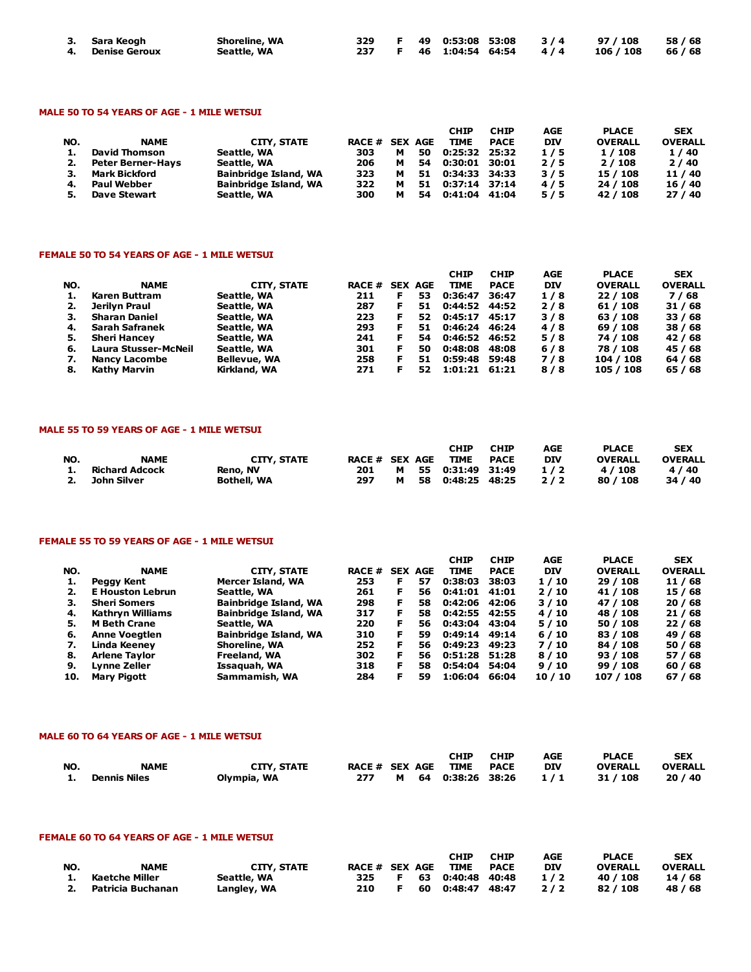| 3. Sara Keogh    | <b>Shoreline, WA</b> |  |  |                            | 329 F 49 0:53:08 53:08 3/4 97/108 58/68 |  |
|------------------|----------------------|--|--|----------------------------|-----------------------------------------|--|
| 4. Denise Geroux | Seattle, WA          |  |  | 237 F 46 1:04:54 64:54 4/4 | 106/108 66/68                           |  |

### MALE 50 TO 54 YEARS OF AGE - 1 MILE WETSUI

|     |                          |                              |                |   |    | <b>CHIP</b>   | <b>CHIP</b> | AGE        | <b>PLACE</b>   | <b>SEX</b>     |
|-----|--------------------------|------------------------------|----------------|---|----|---------------|-------------|------------|----------------|----------------|
| NO. | <b>NAME</b>              | CITY, STATE                  | RACE # SEX AGE |   |    | <b>TIME</b>   | <b>PACE</b> | <b>DIV</b> | <b>OVERALL</b> | <b>OVERALL</b> |
|     | <b>David Thomson</b>     | Seattle, WA                  | 303            | м | 50 | 0:25:32 25:32 |             | 1/5        | 1 / 108        | 1/40           |
| 2.  | <b>Peter Berner-Hays</b> | Seattle, WA                  | 206            | м | 54 | 0:30:01 30:01 |             | 2/5        | 2/108          | 2/40           |
|     | <b>Mark Bickford</b>     | <b>Bainbridge Island, WA</b> | 323            | м | 51 | 0:34:33 34:33 |             | 3/5        | 15 / 108       | 11 / 40        |
| 4.  | <b>Paul Webber</b>       | <b>Bainbridge Island, WA</b> | 322            | м | 51 | 0:37:14 37:14 |             | 4/5        | 24 / 108       | 16/40          |
|     | <b>Dave Stewart</b>      | Seattle, WA                  | 300            | м | 54 | 0:41:04 41:04 |             | 5/5        | 42 / 108       | 27/40          |

#### FEMALE 50 TO 54 YEARS OF AGE - 1 MILE WETSUI

|     |                       |                     |               |    |                | <b>CHIP</b>   | <b>CHIP</b> | AGE        | <b>PLACE</b>   | <b>SEX</b>     |
|-----|-----------------------|---------------------|---------------|----|----------------|---------------|-------------|------------|----------------|----------------|
| NO. | <b>NAME</b>           | CITY, STATE         | <b>RACE #</b> |    | <b>SEX AGE</b> | <b>TIME</b>   | <b>PACE</b> | <b>DIV</b> | <b>OVERALL</b> | <b>OVERALL</b> |
|     | Karen Buttram         | Seattle, WA         | 211           | F  | 53.            | 0:36:47       | 36:47       | 1/8        | 22/108         | 7/68           |
|     | Jerilyn Praul         | Seattle, WA         | 287           |    | 51             | 0:44:52 44:52 |             | 2/8        | 61 / 108       | 31/68          |
| З.  | <b>Sharan Daniel</b>  | Seattle, WA         | 223           | F. | 52.            | 0:45:17       | 45:17       | 3/8        | 63 / 108       | 33/68          |
| 4.  | <b>Sarah Safranek</b> | Seattle, WA         | 293           |    | 51             | 0:46:24       | 46:24       | 4/8        | 69 / 108       | 38 / 68        |
| 5.  | <b>Sheri Hancey</b>   | Seattle, WA         | 241           |    | 54             | 0:46:52 46:52 |             | 5/8        | 74 / 108       | 42 / 68        |
| 6.  | Laura Stusser-McNeil  | Seattle, WA         | 301           |    | 50             | 0:48:08       | 48:08       | 6/8        | 78 / 108       | 45 / 68        |
|     | Nancy Lacombe         | <b>Bellevue, WA</b> | 258           |    | 51             | 0:59:48 59:48 |             | 7/8        | 104 / 108      | 64 / 68        |
| 8.  | Kathy Marvin          | Kirkland, WA        | 271           |    | 52             | 1:01:21 61:21 |             | 8/8        | 105 / 108      | 65 / 68        |

#### MALE 55 TO 59 YEARS OF AGE - 1 MILE WETSUI

| NO. | <b>NAME</b>                      | CITY, STATE                    | RACE # SEX AGE |   | CHIP<br><b>TIME</b>                      | <b>CHIP</b><br>PACE | AGE<br>DIV | <b>PLACE</b><br><b>OVERALL</b> | <b>SEX</b><br><b>OVERALL</b> |
|-----|----------------------------------|--------------------------------|----------------|---|------------------------------------------|---------------------|------------|--------------------------------|------------------------------|
| 1.  | Richard Adcock<br>2. John Silver | Reno, NV<br><b>Bothell, WA</b> | 201<br>297     | м | M 55 0:31:49 31:49<br>58  0:48:25  48:25 |                     | 1/2<br>2/2 | 4 / 108<br>80 / 108            | 4/40<br>34/40                |

### FEMALE 55 TO 59 YEARS OF AGE - 1 MILE WETSUI

|     |                         |                              |               |    |                | <b>CHIP</b>   | <b>CHIP</b> | <b>AGE</b> | <b>PLACE</b>   | <b>SEX</b>     |
|-----|-------------------------|------------------------------|---------------|----|----------------|---------------|-------------|------------|----------------|----------------|
| NO. | <b>NAME</b>             | CITY, STATE                  | <b>RACE #</b> |    | <b>SEX AGE</b> | <b>TIME</b>   | <b>PACE</b> | <b>DIV</b> | <b>OVERALL</b> | <b>OVERALL</b> |
|     | Peggy Kent              | Mercer Island, WA            | 253           | F  | 57             | 0:38:03       | 38:03       | 1/10       | 29 / 108       | 11 / 68        |
|     | <b>E</b> Houston Lebrun | Seattle, WA                  | 261           | F  | 56             | 0:41:01       | 41:01       | 2/10       | 41 / 108       | 15 / 68        |
| З.  | <b>Sheri Somers</b>     | <b>Bainbridge Island, WA</b> | 298           | F  | 58.            | 0:42:06 42:06 |             | 3/10       | 47 / 108       | 20/68          |
| 4.  | Kathryn Williams        | Bainbridge Island, WA        | 317           | F. | 58.            | 0:42:55 42:55 |             | 4/10       | 48 / 108       | 21/68          |
| 5.  | <b>M</b> Beth Crane     | Seattle, WA                  | 220           | F. | 56.            | 0:43:04       | 43:04       | 5/10       | 50 / 108       | 22/68          |
| 6.  | <b>Anne Voegtlen</b>    | <b>Bainbridge Island, WA</b> | 310           | F. | 59             | 0:49:14       | 49:14       | 6/10       | 83 / 108       | 49 / 68        |
| 7.  | Linda Keeney            | Shoreline, WA                | 252           | F. | 56.            | 0:49:23 49:23 |             | 7/10       | 84 / 108       | 50 / 68        |
| 8.  | <b>Arlene Taylor</b>    | Freeland, WA                 | 302           | F  | 56.            | 0:51:28 51:28 |             | 8/10       | 93/108         | 57 / 68        |
| 9.  | Lynne Zeller            | Issaquah, WA                 | 318           | F  | 58             | 0:54:04 54:04 |             | 9/10       | 99/108         | 60/68          |
| 10. | Mary Pigott             | Sammamish, WA                | 284           | F  | 59             | 1:06:04       | 66:04       | 10/10      | 107 / 108      | 67/68          |

### MALE 60 TO 64 YEARS OF AGE - 1 MILE WETSUI

|           |                     |                    |                |  | CHIP               | <b>CHIP</b> | AGE        | <b>PLACE</b>   | <b>SEX</b>     |
|-----------|---------------------|--------------------|----------------|--|--------------------|-------------|------------|----------------|----------------|
| <b>NO</b> | <b>NAME</b>         | <b>CITY, STATE</b> | RACE # SEX AGE |  | : TIME PACE        |             | <b>DIV</b> | <b>OVERALL</b> | <b>OVERALL</b> |
|           | <b>Dennis Niles</b> | Olympia, WA        | 277            |  | M 64 0:38:26 38:26 |             | 1/1        | 31 / 108       | 20/40          |

## FEMALE 60 TO 64 YEARS OF AGE - 1 MILE WETSUI

| NO. | <b>NAME</b>                               | <b>CITY, STATE</b>         | RACE # SEX AGE |  | <b>CHIP</b><br>TIME PACE               | <b>CHIP</b> | AGE<br><b>DIV</b> | <b>PLACE</b><br><b>OVERALL</b> | <b>SEX</b><br><b>OVERALL</b> |
|-----|-------------------------------------------|----------------------------|----------------|--|----------------------------------------|-------------|-------------------|--------------------------------|------------------------------|
|     | 1. Kaetche Miller<br>2. Patricia Buchanan | Seattle, WA<br>Langley, WA | 325<br>210     |  | F 63 0:40:48 40:48<br>60 0:48:47 48:47 |             | 1/2<br>2/2        | 40 / 108<br>82 / 108           | 14 / 68<br>48 / 68           |